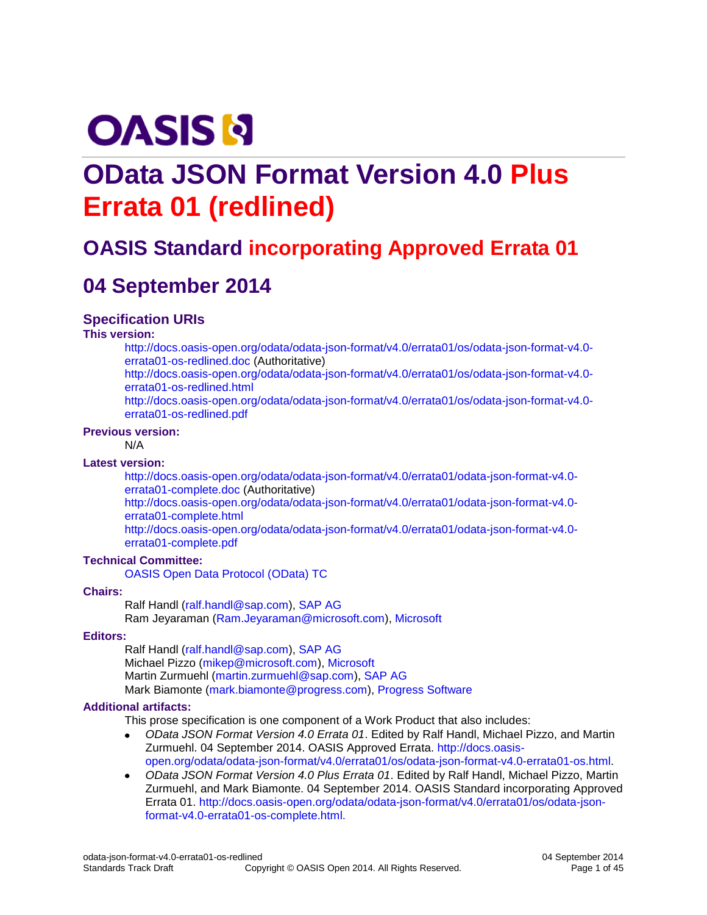# **OASIS N**

# **OData JSON Format Version 4.0 Plus Errata 01 (redlined)**

# **OASIS Standard incorporating Approved Errata 01**

# **04 September 2014**

#### **Specification URIs**

**This version:**

[http://docs.oasis-open.org/odata/odata-json-format/v4.0/errata01/os/odata-json-format-v4.0](http://docs.oasis-open.org/odata/odata-json-format/v4.0/errata01/os/odata-json-format-v4.0-errata01-os-redlined.doc) [errata01-os-redlined.doc](http://docs.oasis-open.org/odata/odata-json-format/v4.0/errata01/os/odata-json-format-v4.0-errata01-os-redlined.doc) (Authoritative) [http://docs.oasis-open.org/odata/odata-json-format/v4.0/errata01/os/odata-json-format-v4.0](http://docs.oasis-open.org/odata/odata-json-format/v4.0/errata01/os/odata-json-format-v4.0-errata01-os-redlined.html) [errata01-os-redlined.html](http://docs.oasis-open.org/odata/odata-json-format/v4.0/errata01/os/odata-json-format-v4.0-errata01-os-redlined.html) [http://docs.oasis-open.org/odata/odata-json-format/v4.0/errata01/os/odata-json-format-v4.0](http://docs.oasis-open.org/odata/odata-json-format/v4.0/errata01/os/odata-json-format-v4.0-errata01-os-redlined.pdf) [errata01-os-redlined.pdf](http://docs.oasis-open.org/odata/odata-json-format/v4.0/errata01/os/odata-json-format-v4.0-errata01-os-redlined.pdf)

#### **Previous version:**

N/A

#### **Latest version:**

[http://docs.oasis-open.org/odata/odata-json-format/v4.0/errata01/odata-json-format-v4.0](http://docs.oasis-open.org/odata/odata-json-format/v4.0/errata01/odata-json-format-v4.0-errata01-complete.doc) [errata01-complete.doc](http://docs.oasis-open.org/odata/odata-json-format/v4.0/errata01/odata-json-format-v4.0-errata01-complete.doc) (Authoritative)

[http://docs.oasis-open.org/odata/odata-json-format/v4.0/errata01/odata-json-format-v4.0](http://docs.oasis-open.org/odata/odata-json-format/v4.0/errata01/odata-json-format-v4.0-errata01-complete.html) [errata01-complete.html](http://docs.oasis-open.org/odata/odata-json-format/v4.0/errata01/odata-json-format-v4.0-errata01-complete.html)

[http://docs.oasis-open.org/odata/odata-json-format/v4.0/errata01/odata-json-format-v4.0](http://docs.oasis-open.org/odata/odata-json-format/v4.0/errata01/odata-json-format-v4.0-errata01-complete.pdf) [errata01-complete.pdf](http://docs.oasis-open.org/odata/odata-json-format/v4.0/errata01/odata-json-format-v4.0-errata01-complete.pdf)

#### **Technical Committee:**

[OASIS Open Data Protocol \(OData\) TC](https://www.oasis-open.org/committees/odata/)

#### **Chairs:**

Ralf Handl [\(ralf.handl@sap.com\)](mailto:ralf.handl@sap.com), [SAP AG](http://www.sap.com/) Ram Jeyaraman [\(Ram.Jeyaraman@microsoft.com\)](mailto:Ram.Jeyaraman@microsoft.com), [Microsoft](http://www.microsoft.com/)

#### **Editors:**

Ralf Handl [\(ralf.handl@sap.com\)](mailto:ralf.handl@sap.com), [SAP AG](http://www.sap.com/) Michael Pizzo [\(mikep@microsoft.com\)](mailto:mikep@microsoft.com)[, Microsoft](http://www.microsoft.com/) Martin Zurmuehl [\(martin.zurmuehl@sap.com\)](mailto:martin.zurmuehl@sap.com), [SAP AG](http://www.sap.com/) Mark Biamonte [\(mark.biamonte@progress.com\)](mailto:mark.biamonte@progress.com), [Progress Software](http://www.progress.com/)

#### **Additional artifacts:**

This prose specification is one component of a Work Product that also includes:

- $\bullet$ *OData JSON Format Version 4.0 Errata 01*. Edited by Ralf Handl, Michael Pizzo, and Martin Zurmuehl. 04 September 2014. OASIS Approved Errata. [http://docs.oasis](http://docs.oasis-open.org/odata/odata-json-format/v4.0/errata01/os/odata-json-format-v4.0-errata01-os.html)[open.org/odata/odata-json-format/v4.0/errata01/os/odata-json-format-v4.0-errata01-os.html.](http://docs.oasis-open.org/odata/odata-json-format/v4.0/errata01/os/odata-json-format-v4.0-errata01-os.html)
- *OData JSON Format Version 4.0 Plus Errata 01*. Edited by Ralf Handl, Michael Pizzo, Martin Zurmuehl, and Mark Biamonte. 04 September 2014. OASIS Standard incorporating Approved Errata 01. [http://docs.oasis-open.org/odata/odata-json-format/v4.0/errata01/os/odata-json](http://docs.oasis-open.org/odata/odata-json-format/v4.0/errata01/os/odata-json-format-v4.0-errata01-os-complete.html)[format-v4.0-errata01-os-complete.html.](http://docs.oasis-open.org/odata/odata-json-format/v4.0/errata01/os/odata-json-format-v4.0-errata01-os-complete.html)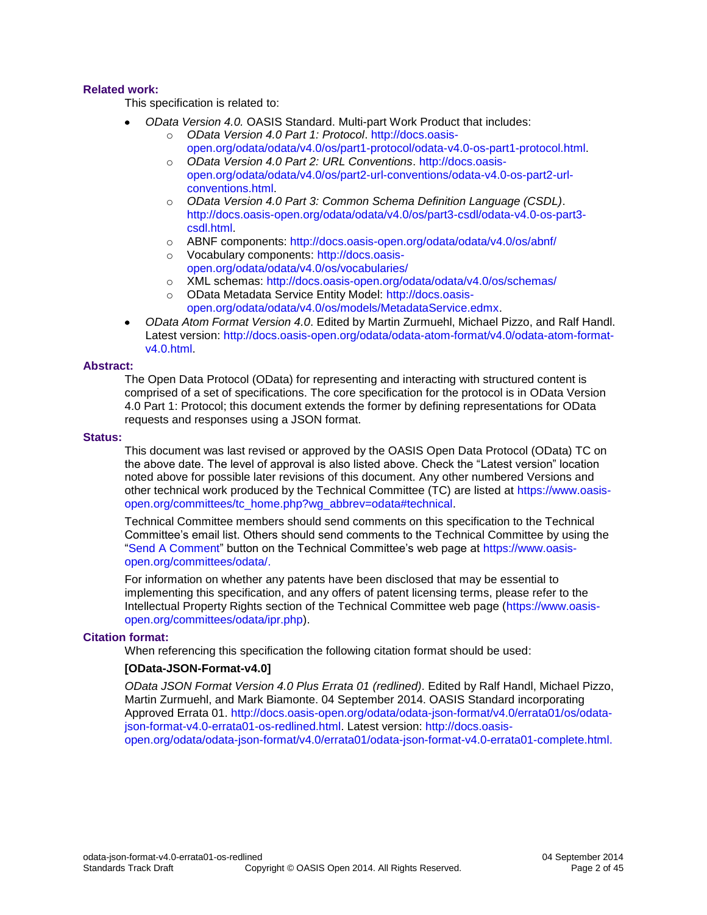#### **Related work:**

This specification is related to:

- *OData Version 4.0.* OASIS Standard. Multi-part Work Product that includes:
	- o *OData Version 4.0 Part 1: Protocol*. [http://docs.oasis](http://docs.oasis-open.org/odata/odata/v4.0/os/part1-protocol/odata-v4.0-os-part1-protocol.html)[open.org/odata/odata/v4.0/os/part1-protocol/odata-v4.0-os-part1-protocol.html.](http://docs.oasis-open.org/odata/odata/v4.0/os/part1-protocol/odata-v4.0-os-part1-protocol.html)
	- o *OData Version 4.0 Part 2: URL Conventions*. [http://docs.oasis](http://docs.oasis-open.org/odata/odata/v4.0/os/part2-url-conventions/odata-v4.0-os-part2-url-conventions.html)[open.org/odata/odata/v4.0/os/part2-url-conventions/odata-v4.0-os-part2-url](http://docs.oasis-open.org/odata/odata/v4.0/os/part2-url-conventions/odata-v4.0-os-part2-url-conventions.html)[conventions.html.](http://docs.oasis-open.org/odata/odata/v4.0/os/part2-url-conventions/odata-v4.0-os-part2-url-conventions.html)
	- o *OData Version 4.0 Part 3: Common Schema Definition Language (CSDL)*. [http://docs.oasis-open.org/odata/odata/v4.0/os/part3-csdl/odata-v4.0-os-part3](http://docs.oasis-open.org/odata/odata/v4.0/os/part3-csdl/odata-v4.0-os-part3-csdl.html) [csdl.html.](http://docs.oasis-open.org/odata/odata/v4.0/os/part3-csdl/odata-v4.0-os-part3-csdl.html)
	- o ABNF components:<http://docs.oasis-open.org/odata/odata/v4.0/os/abnf/>
	- o Vocabulary components: [http://docs.oasis](http://docs.oasis-open.org/odata/odata/v4.0/os/vocabularies/)[open.org/odata/odata/v4.0/os/vocabularies/](http://docs.oasis-open.org/odata/odata/v4.0/os/vocabularies/)
	- o XML schemas:<http://docs.oasis-open.org/odata/odata/v4.0/os/schemas/>
	- o OData Metadata Service Entity Model: [http://docs.oasis](http://docs.oasis-open.org/odata/odata/v4.0/os/models/MetadataService.edmx)[open.org/odata/odata/v4.0/os/models/MetadataService.edmx.](http://docs.oasis-open.org/odata/odata/v4.0/os/models/MetadataService.edmx)
- *OData Atom Format Version 4.0*. Edited by Martin Zurmuehl, Michael Pizzo, and Ralf Handl.  $\bullet$ Latest version: [http://docs.oasis-open.org/odata/odata-atom-format/v4.0/odata-atom-format](http://docs.oasis-open.org/odata/odata-atom-format/v4.0/odata-atom-format-v4.0.html)[v4.0.html.](http://docs.oasis-open.org/odata/odata-atom-format/v4.0/odata-atom-format-v4.0.html)

#### **Abstract:**

The Open Data Protocol (OData) for representing and interacting with structured content is comprised of a set of specifications. The core specification for the protocol is in OData Version 4.0 Part 1: Protocol; this document extends the former by defining representations for OData requests and responses using a JSON format.

#### **Status:**

This document was last revised or approved by the OASIS Open Data Protocol (OData) TC on the above date. The level of approval is also listed above. Check the "Latest version" location noted above for possible later revisions of this document. Any other numbered Versions and other technical work produced by the Technical Committee (TC) are listed at [https://www.oasis](https://www.oasis-open.org/committees/tc_home.php?wg_abbrev=odata#technical)[open.org/committees/tc\\_home.php?wg\\_abbrev=odata#technical.](https://www.oasis-open.org/committees/tc_home.php?wg_abbrev=odata#technical)

Technical Committee members should send comments on this specification to the Technical Committee's email list. Others should send comments to the Technical Committee by using the ["Send A Comment"](https://www.oasis-open.org/committees/comments/index.php?wg_abbrev=odata) button on the Technical Committee's web page at [https://www.oasis](https://www.oasis-open.org/committees/odata/)[open.org/committees/odata/.](https://www.oasis-open.org/committees/odata/)

For information on whether any patents have been disclosed that may be essential to implementing this specification, and any offers of patent licensing terms, please refer to the Intellectual Property Rights section of the Technical Committee web page [\(https://www.oasis](https://www.oasis-open.org/committees/odata/ipr.php)[open.org/committees/odata/ipr.php\)](https://www.oasis-open.org/committees/odata/ipr.php).

#### **Citation format:**

When referencing this specification the following citation format should be used:

#### **[OData-JSON-Format-v4.0]**

*OData JSON Format Version 4.0 Plus Errata 01 (redlined)*. Edited by Ralf Handl, Michael Pizzo, Martin Zurmuehl, and Mark Biamonte. 04 September 2014. OASIS Standard incorporating Approved Errata 01. [http://docs.oasis-open.org/odata/odata-json-format/v4.0/errata01/os/odata](http://docs.oasis-open.org/odata/odata-json-format/v4.0/errata01/os/odata-json-format-v4.0-errata01-os-redlined.html)[json-format-v4.0-errata01-os-redlined.html.](http://docs.oasis-open.org/odata/odata-json-format/v4.0/errata01/os/odata-json-format-v4.0-errata01-os-redlined.html) Latest version: [http://docs.oasis](http://docs.oasis-open.org/odata/odata-json-format/v4.0/errata01/odata-json-format-v4.0-errata01-complete.html)[open.org/odata/odata-json-format/v4.0/errata01/odata-json-format-v4.0-errata01-complete.html.](http://docs.oasis-open.org/odata/odata-json-format/v4.0/errata01/odata-json-format-v4.0-errata01-complete.html)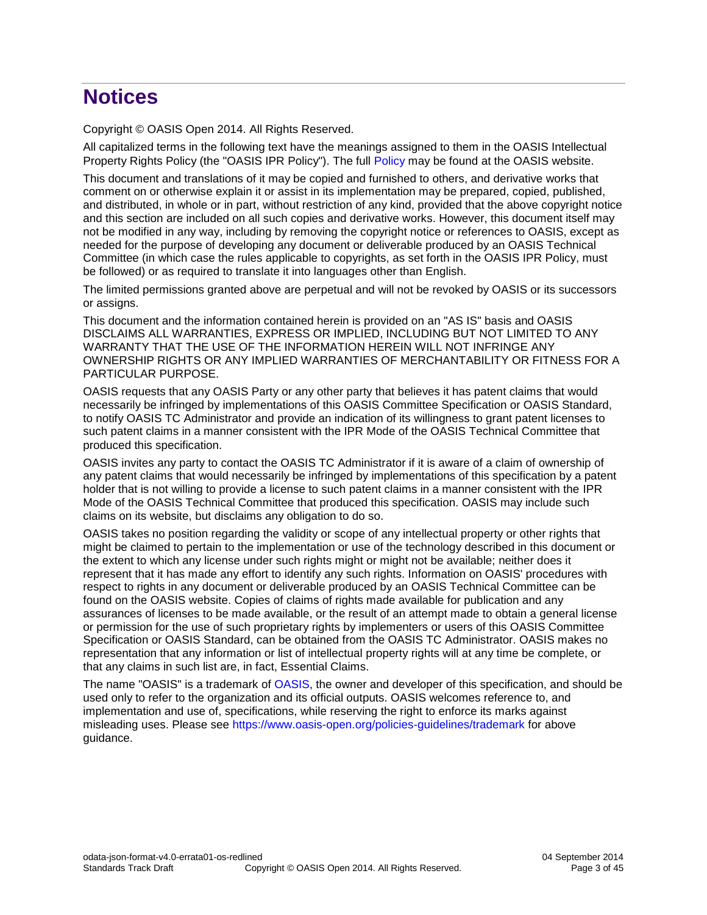# **Notices**

Copyright © OASIS Open 2014. All Rights Reserved.

All capitalized terms in the following text have the meanings assigned to them in the OASIS Intellectual Property Rights Policy (the "OASIS IPR Policy"). The full [Policy](https://www.oasis-open.org/policies-guidelines/ipr) may be found at the OASIS website.

This document and translations of it may be copied and furnished to others, and derivative works that comment on or otherwise explain it or assist in its implementation may be prepared, copied, published, and distributed, in whole or in part, without restriction of any kind, provided that the above copyright notice and this section are included on all such copies and derivative works. However, this document itself may not be modified in any way, including by removing the copyright notice or references to OASIS, except as needed for the purpose of developing any document or deliverable produced by an OASIS Technical Committee (in which case the rules applicable to copyrights, as set forth in the OASIS IPR Policy, must be followed) or as required to translate it into languages other than English.

The limited permissions granted above are perpetual and will not be revoked by OASIS or its successors or assigns.

This document and the information contained herein is provided on an "AS IS" basis and OASIS DISCLAIMS ALL WARRANTIES, EXPRESS OR IMPLIED, INCLUDING BUT NOT LIMITED TO ANY WARRANTY THAT THE USE OF THE INFORMATION HEREIN WILL NOT INFRINGE ANY OWNERSHIP RIGHTS OR ANY IMPLIED WARRANTIES OF MERCHANTABILITY OR FITNESS FOR A PARTICULAR PURPOSE.

OASIS requests that any OASIS Party or any other party that believes it has patent claims that would necessarily be infringed by implementations of this OASIS Committee Specification or OASIS Standard, to notify OASIS TC Administrator and provide an indication of its willingness to grant patent licenses to such patent claims in a manner consistent with the IPR Mode of the OASIS Technical Committee that produced this specification.

OASIS invites any party to contact the OASIS TC Administrator if it is aware of a claim of ownership of any patent claims that would necessarily be infringed by implementations of this specification by a patent holder that is not willing to provide a license to such patent claims in a manner consistent with the IPR Mode of the OASIS Technical Committee that produced this specification. OASIS may include such claims on its website, but disclaims any obligation to do so.

OASIS takes no position regarding the validity or scope of any intellectual property or other rights that might be claimed to pertain to the implementation or use of the technology described in this document or the extent to which any license under such rights might or might not be available; neither does it represent that it has made any effort to identify any such rights. Information on OASIS' procedures with respect to rights in any document or deliverable produced by an OASIS Technical Committee can be found on the OASIS website. Copies of claims of rights made available for publication and any assurances of licenses to be made available, or the result of an attempt made to obtain a general license or permission for the use of such proprietary rights by implementers or users of this OASIS Committee Specification or OASIS Standard, can be obtained from the OASIS TC Administrator. OASIS makes no representation that any information or list of intellectual property rights will at any time be complete, or that any claims in such list are, in fact, Essential Claims.

The name "OASIS" is a trademark of [OASIS,](https://www.oasis-open.org/) the owner and developer of this specification, and should be used only to refer to the organization and its official outputs. OASIS welcomes reference to, and implementation and use of, specifications, while reserving the right to enforce its marks against misleading uses. Please see<https://www.oasis-open.org/policies-guidelines/trademark> for above guidance.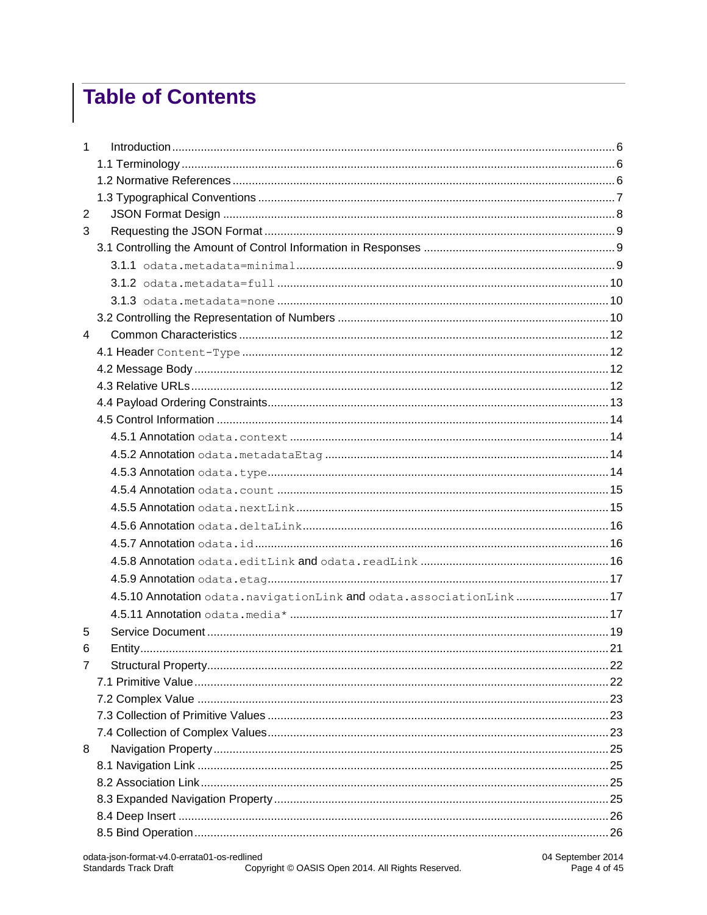# **Table of Contents**

| 1              |                                                                    |  |
|----------------|--------------------------------------------------------------------|--|
|                |                                                                    |  |
|                |                                                                    |  |
|                |                                                                    |  |
| $\mathbf{2}$   |                                                                    |  |
| 3              |                                                                    |  |
|                |                                                                    |  |
|                |                                                                    |  |
|                |                                                                    |  |
|                |                                                                    |  |
|                |                                                                    |  |
| $\overline{4}$ |                                                                    |  |
|                |                                                                    |  |
|                |                                                                    |  |
|                |                                                                    |  |
|                |                                                                    |  |
|                |                                                                    |  |
|                |                                                                    |  |
|                |                                                                    |  |
|                |                                                                    |  |
|                |                                                                    |  |
|                |                                                                    |  |
|                |                                                                    |  |
|                |                                                                    |  |
|                |                                                                    |  |
|                |                                                                    |  |
|                | 4.5.10 Annotation odata.navigationLink and odata.associationLink17 |  |
|                |                                                                    |  |
| 5              |                                                                    |  |
| 6              |                                                                    |  |
| $\overline{7}$ |                                                                    |  |
|                |                                                                    |  |
|                |                                                                    |  |
|                |                                                                    |  |
|                |                                                                    |  |
| 8              |                                                                    |  |
|                |                                                                    |  |
|                |                                                                    |  |
|                |                                                                    |  |
|                |                                                                    |  |
|                |                                                                    |  |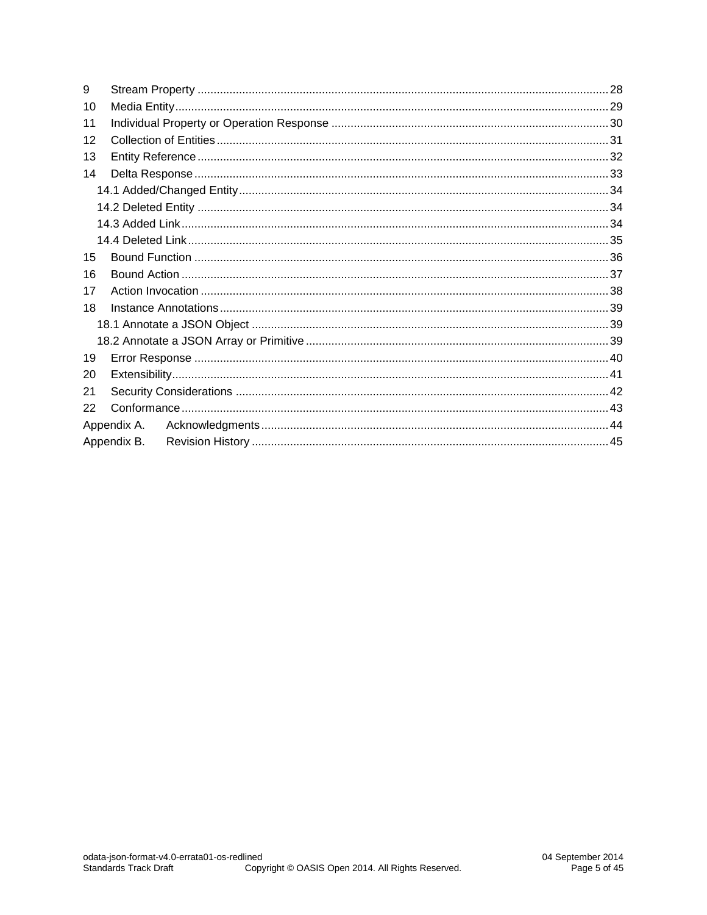| 9  |             |  |  |  |  |
|----|-------------|--|--|--|--|
| 10 |             |  |  |  |  |
| 11 |             |  |  |  |  |
| 12 |             |  |  |  |  |
| 13 |             |  |  |  |  |
| 14 |             |  |  |  |  |
|    |             |  |  |  |  |
|    |             |  |  |  |  |
|    |             |  |  |  |  |
|    |             |  |  |  |  |
| 15 |             |  |  |  |  |
| 16 |             |  |  |  |  |
| 17 |             |  |  |  |  |
| 18 |             |  |  |  |  |
|    |             |  |  |  |  |
|    |             |  |  |  |  |
| 19 |             |  |  |  |  |
| 20 |             |  |  |  |  |
| 21 |             |  |  |  |  |
| 22 |             |  |  |  |  |
|    | Appendix A. |  |  |  |  |
|    | Appendix B. |  |  |  |  |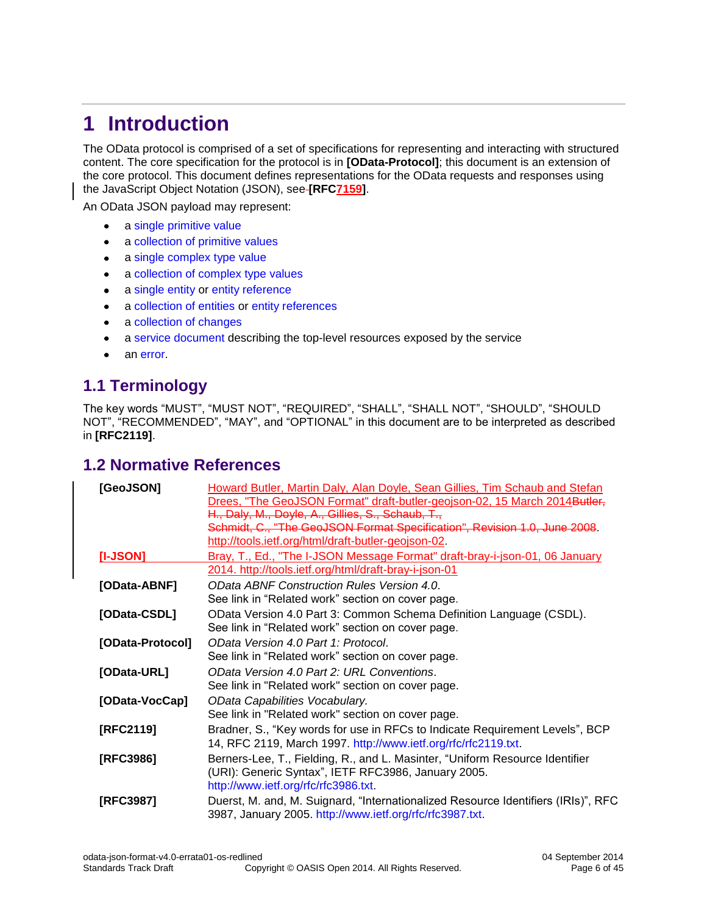# <span id="page-5-0"></span>**1 Introduction**

The OData protocol is comprised of a set of specifications for representing and interacting with structured content. The core specification for the protocol is in **[\[OData-Protocol\]](#page-5-3)**; this document is an extension of the core protocol. This document defines representations for the OData requests and responses using the JavaScript Object Notation (JSON), see **[\[RFC7159\]](#page-6-1)**.

An OData JSON payload may represent:

- a [single primitive value](#page-21-1)  $\bullet$
- a collection [of primitive values](#page-22-3)  $\bullet$
- a [single complex type value](#page-22-0)  $\bullet$
- a collection [of complex type](#page-22-2) values  $\bullet$
- $\bullet$ a [single entity](#page-20-0) or [entity reference](#page-31-0)
- a [collection](#page-30-0) of entities or [entity references](#page-31-0)  $\bullet$
- a collection [of changes](#page-32-0)  $\bullet$
- a [service document](#page-18-0) describing the top-level resources exposed by the service  $\bullet$
- an [error.](#page-39-0)

### <span id="page-5-1"></span>**1.1 Terminology**

The key words "MUST", "MUST NOT", "REQUIRED", "SHALL", "SHALL NOT", "SHOULD", "SHOULD NOT", "RECOMMENDED", "MAY", and "OPTIONAL" in this document are to be interpreted as described in **[\[RFC2119\]](#page-5-4)**.

#### <span id="page-5-2"></span>**1.2 Normative References**

<span id="page-5-11"></span><span id="page-5-10"></span><span id="page-5-9"></span><span id="page-5-8"></span><span id="page-5-7"></span><span id="page-5-6"></span><span id="page-5-5"></span><span id="page-5-4"></span><span id="page-5-3"></span>

| [GeoJSON]        | Howard Butler, Martin Daly, Alan Doyle, Sean Gillies, Tim Schaub and Stefan<br>Drees, "The GeoJSON Format" draft-butler-geojson-02, 15 March 2014 <del>Butler,</del> |  |  |  |
|------------------|----------------------------------------------------------------------------------------------------------------------------------------------------------------------|--|--|--|
|                  |                                                                                                                                                                      |  |  |  |
|                  | H., Daly, M., Doyle, A., Gillies, S., Schaub, T.,                                                                                                                    |  |  |  |
|                  | Schmidt, C., "The GeoJSON Format Specification", Revision 1.0, June 2008.                                                                                            |  |  |  |
|                  | http://tools.ietf.org/html/draft-butler-geojson-02.                                                                                                                  |  |  |  |
| [I-JSON]         | Bray, T., Ed., "The I-JSON Message Format" draft-bray-i-json-01, 06 January                                                                                          |  |  |  |
|                  | 2014. http://tools.ietf.org/html/draft-bray-i-json-01                                                                                                                |  |  |  |
| [OData-ABNF]     | OData ABNF Construction Rules Version 4.0.                                                                                                                           |  |  |  |
|                  | See link in "Related work" section on cover page.                                                                                                                    |  |  |  |
| [OData-CSDL]     | OData Version 4.0 Part 3: Common Schema Definition Language (CSDL).                                                                                                  |  |  |  |
|                  | See link in "Related work" section on cover page.                                                                                                                    |  |  |  |
| [OData-Protocol] | OData Version 4.0 Part 1: Protocol.                                                                                                                                  |  |  |  |
|                  | See link in "Related work" section on cover page.                                                                                                                    |  |  |  |
| [OData-URL]      | OData Version 4.0 Part 2: URL Conventions.                                                                                                                           |  |  |  |
|                  | See link in "Related work" section on cover page.                                                                                                                    |  |  |  |
| [OData-VocCap]   | OData Capabilities Vocabulary.                                                                                                                                       |  |  |  |
|                  | See link in "Related work" section on cover page.                                                                                                                    |  |  |  |
| [RFC2119]        | Bradner, S., "Key words for use in RFCs to Indicate Requirement Levels", BCP                                                                                         |  |  |  |
|                  | 14, RFC 2119, March 1997. http://www.ietf.org/rfc/rfc2119.txt.                                                                                                       |  |  |  |
| [RFC3986]        | Berners-Lee, T., Fielding, R., and L. Masinter, "Uniform Resource Identifier                                                                                         |  |  |  |
|                  | (URI): Generic Syntax", IETF RFC3986, January 2005.                                                                                                                  |  |  |  |
|                  | http://www.ietf.org/rfc/rfc3986.txt.                                                                                                                                 |  |  |  |
| [RFC3987]        | Duerst, M. and, M. Suignard, "Internationalized Resource Identifiers (IRIs)", RFC                                                                                    |  |  |  |
|                  | 3987, January 2005. http://www.ietf.org/rfc/rfc3987.txt.                                                                                                             |  |  |  |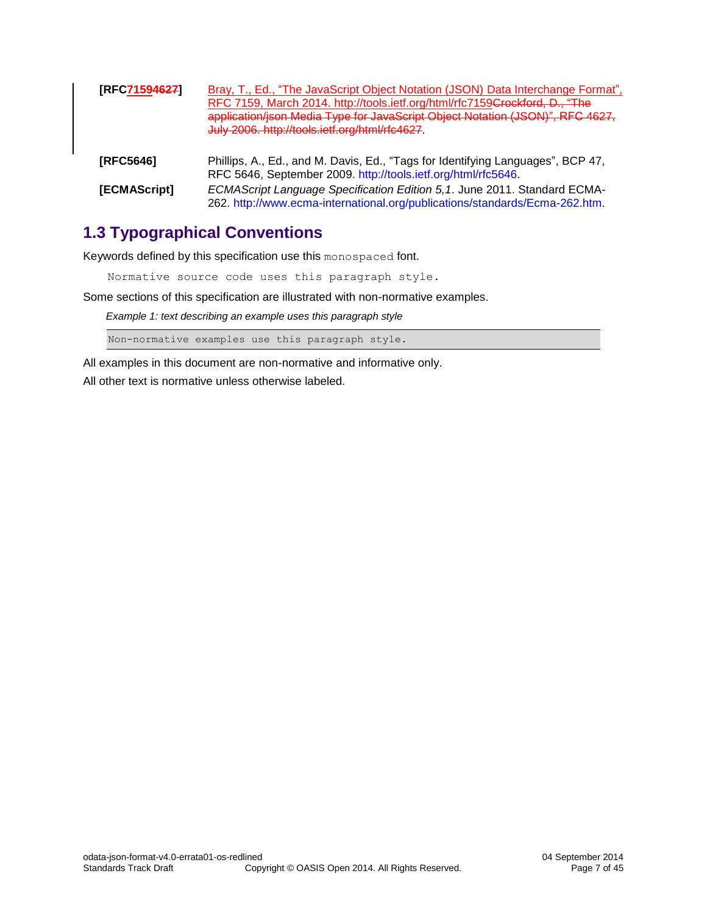<span id="page-6-3"></span><span id="page-6-1"></span>

| [RFC71594627] | Bray, T., Ed., "The JavaScript Object Notation (JSON) Data Interchange Format",<br>RFC 7159, March 2014. http://tools.ietf.org/html/rfc7159Crockford, D., "The<br>application/json Media Type for JavaScript Object Notation (JSON)", RFC 4627,<br>July 2006. http://tools.ietf.org/html/rfc4627. |
|---------------|---------------------------------------------------------------------------------------------------------------------------------------------------------------------------------------------------------------------------------------------------------------------------------------------------|
| [RFC5646]     | Phillips, A., Ed., and M. Davis, Ed., "Tags for Identifying Languages", BCP 47,<br>RFC 5646, September 2009. http://tools.ietf.org/html/rfc5646.                                                                                                                                                  |
| [ECMAScript]  | ECMAScript Language Specification Edition 5,1. June 2011. Standard ECMA-<br>262. http://www.ecma-international.org/publications/standards/Ecma-262.htm.                                                                                                                                           |

### <span id="page-6-2"></span><span id="page-6-0"></span>**1.3 Typographical Conventions**

Keywords defined by this specification use this monospaced font.

Normative source code uses this paragraph style.

Some sections of this specification are illustrated with non-normative examples.

*Example 1: text describing an example uses this paragraph style*

Non-normative examples use this paragraph style.

All examples in this document are non-normative and informative only. All other text is normative unless otherwise labeled.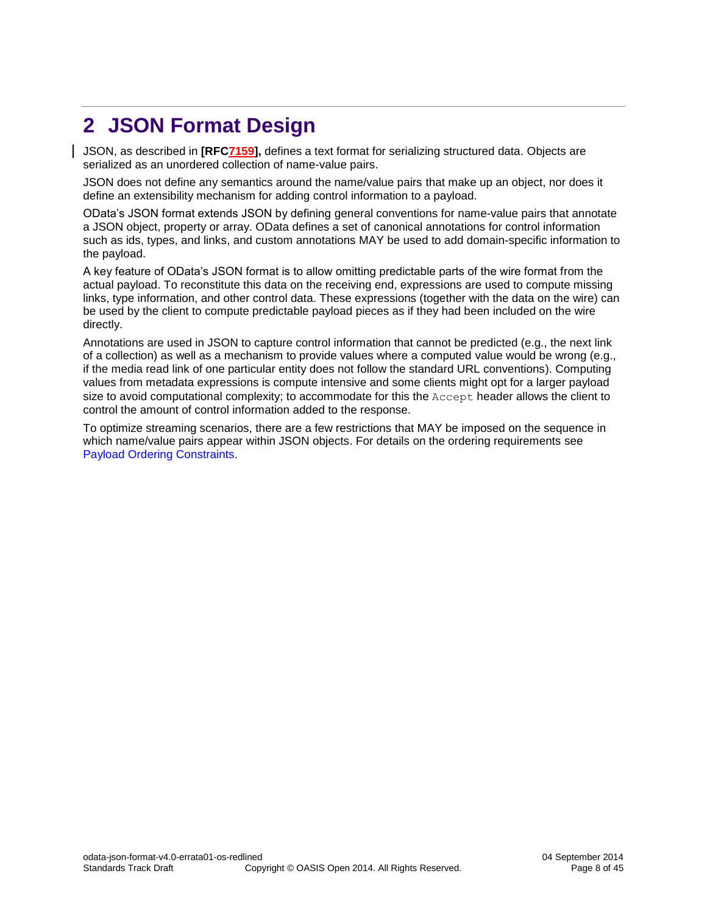# <span id="page-7-0"></span>**2 JSON Format Design**

JSON, as described in **[\[RFC7159\],](#page-6-1)** defines a text format for serializing structured data. Objects are serialized as an unordered collection of name-value pairs.

JSON does not define any semantics around the name/value pairs that make up an object, nor does it define an extensibility mechanism for adding control information to a payload.

OData's JSON format extends JSON by defining general conventions for name-value pairs that annotate a JSON object, property or array. OData defines a set of canonical annotations for control information such as ids, types, and links, and custom annotations MAY be used to add domain-specific information to the payload.

A key feature of OData's JSON format is to allow omitting predictable parts of the wire format from the actual payload. To reconstitute this data on the receiving end, expressions are used to compute missing links, type information, and other control data. These expressions (together with the data on the wire) can be used by the client to compute predictable payload pieces as if they had been included on the wire directly.

Annotations are used in JSON to capture control information that cannot be predicted (e.g., the next link of a collection) as well as a mechanism to provide values where a computed value would be wrong (e.g., if the media read link of one particular entity does not follow the standard URL conventions). Computing values from metadata expressions is compute intensive and some clients might opt for a larger payload size to avoid computational complexity; to accommodate for this the Accept header allows the client to control the amount of control information added to the response.

To optimize streaming scenarios, there are a few restrictions that MAY be imposed on the sequence in which name/value pairs appear within JSON objects. For details on the ordering requirements see [Payload Ordering Constraints.](#page-12-0)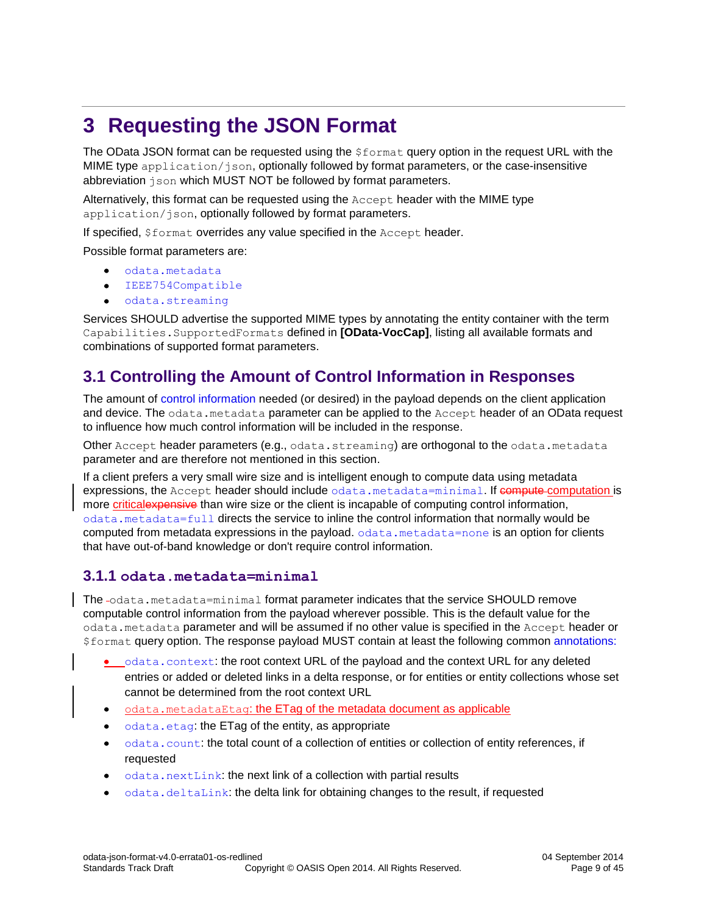# <span id="page-8-0"></span>**3 Requesting the JSON Format**

The OData JSON format can be requested using the \$format query option in the request URL with the MIME type application/json, optionally followed by format parameters, or the case-insensitive abbreviation json which MUST NOT be followed by format parameters.

Alternatively, this format can be requested using the Accept header with the MIME type application/json, optionally followed by format parameters.

If specified, \$format overrides any value specified in the Accept header.

Possible format parameters are:

- [odata.metadata](#page-8-1)
- [IEEE754Compatible](#page-9-2)  $\bullet$
- [odata.streaming](#page-12-0)  $\bullet$

Services SHOULD advertise the supported MIME types by annotating the entity container with the term Capabilities.SupportedFormats defined in **[\[OData-VocCap\]](#page-5-5)**, listing all available formats and combinations of supported format parameters.

### <span id="page-8-1"></span>**3.1 Controlling the Amount of Control Information in Responses**

The amount of [control information](#page-13-0) needed (or desired) in the payload depends on the client application and device. The odata.metadata parameter can be applied to the Accept header of an OData request to influence how much control information will be included in the response.

Other Accept header parameters (e.g., odata.streaming) are orthogonal to the odata.metadata parameter and are therefore not mentioned in this section.

If a client prefers a very small wire size and is intelligent enough to compute data using metadata expressions, the Accept header should include [odata.metadata=minimal](#page-8-2). If compute computation is more criticalexpensive than wire size or the client is incapable of computing control information, [odata.metadata=full](#page-9-0) directs the service to inline the control information that normally would be computed from metadata expressions in the payload.  $\circ$ data.metadata=none is an option for clients that have out-of-band knowledge or don't require control information.

#### <span id="page-8-2"></span>**3.1.1 odata.metadata=minimal**

The -odata.metadata=minimal format parameter indicates that the service SHOULD remove computable control information from the payload wherever possible. This is the default value for the odata.metadata parameter and will be assumed if no other value is specified in the Accept header or \$format query option. The response payload MUST contain at least the following common [annotations:](#page-38-0)

- [odata.context](#page-13-1): the root context URL of the payload and the context URL for any deleted entries or added or deleted links in a delta response, or for entities or entity collections whose set cannot be determined from the root context URL
- odata.metadataEtag: the ETag of the metadata document as applicable  $\bullet$
- [odata.etag](#page-16-0): the ETag of the entity, as appropriate
- [odata.count](#page-14-0): the total count of a collection of entities or collection of entity references, if  $\bullet$ requested
- [odata.nextLink](#page-14-1): the next link of a collection with partial results
- [odata.deltaLink](#page-15-0): the delta link for obtaining changes to the result, if requested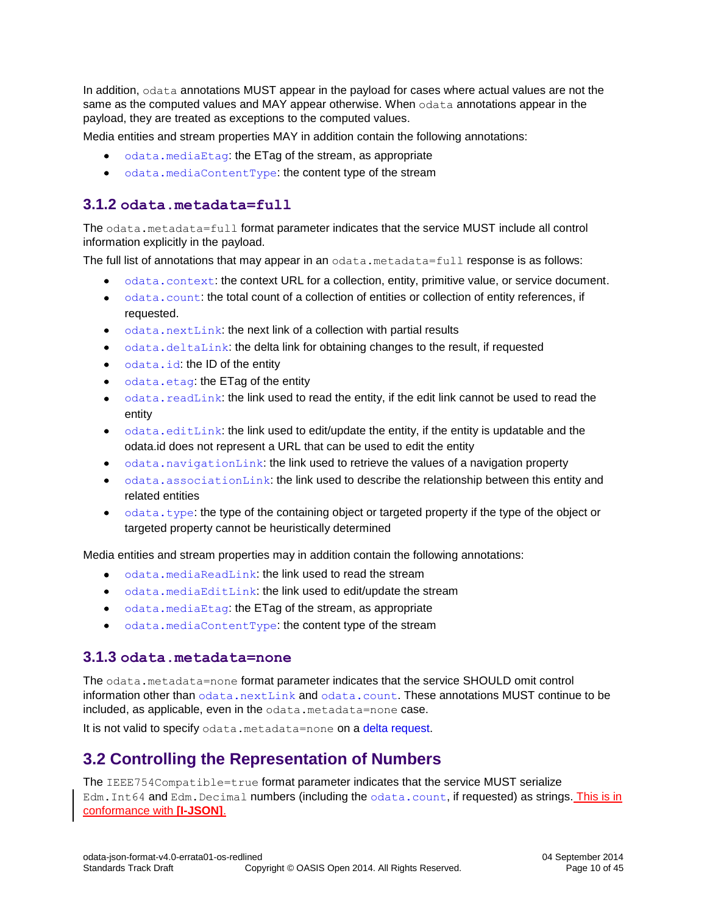In addition, odata annotations MUST appear in the payload for cases where actual values are not the same as the computed values and MAY appear otherwise. When odata annotations appear in the payload, they are treated as exceptions to the computed values.

Media entities and stream properties MAY in addition contain the following annotations:

- $\bullet$  odata. mediaEtag: the ETag of the stream, as appropriate
- [odata.mediaContentType](#page-16-3): the content type of the stream

#### <span id="page-9-0"></span>**3.1.2 odata.metadata=full**

The odata.metadata=full format parameter indicates that the service MUST include all control information explicitly in the payload.

The full list of annotations that may appear in an odata.metadata=full response is as follows:

- $\bullet$  [odata.context](#page-13-1): the context URL for a collection, entity, primitive value, or service document.
- [odata.count](#page-14-0): the total count of a collection of entities or collection of entity references, if requested.
- [odata.nextLink](#page-14-1): the next link of a collection with partial results
- [odata.deltaLink](#page-15-0): the delta link for obtaining changes to the result, if requested
- [odata.id](#page-15-1): the ID of the entity
- [odata.etag](#page-16-0): the ETag of the entity
- odata. readLink: the link used to read the entity, if the edit link cannot be used to read the  $\bullet$ entity
- $\bullet$  [odata.editLink](#page-15-2): the link used to edit/update the entity, if the entity is updatable and the odata.id does not represent a URL that can be used to edit the entity
- [odata.navigationLink](#page-16-4): the link used to retrieve the values of a navigation property
- $\bullet$  [odata.associationLink](#page-16-4): the link used to describe the relationship between this entity and related entities
- $\bullet$  [odata.type](#page-13-3): the type of the containing object or targeted property if the type of the object or targeted property cannot be heuristically determined

Media entities and stream properties may in addition contain the following annotations:

- [odata.mediaReadLink](#page-16-3): the link used to read the stream
- [odata.mediaEditLink](#page-16-3): the link used to edit/update the stream
- [odata.mediaEtag](#page-16-3): the ETag of the stream, as appropriate
- [odata.mediaContentType](#page-16-3): the content type of the stream

#### <span id="page-9-1"></span>**3.1.3 odata.metadata=none**

The odata.metadata=none format parameter indicates that the service SHOULD omit control information other than [odata.nextLink](#page-14-1) and [odata.count](#page-14-0). These annotations MUST continue to be included, as applicable, even in the odata.metadata=none case.

It is not valid to specify odata.metadata=none on a [delta request.](#page-32-0)

### <span id="page-9-2"></span>**3.2 Controlling the Representation of Numbers**

The IEEE754Compatible=true format parameter indicates that the service MUST serialize Edm. Int64 and Edm. Decimal numbers (including the [odata.count](#page-14-0), if requested) as strings. This is in conformance with **[\[I-JSON\]](#page-5-6)**.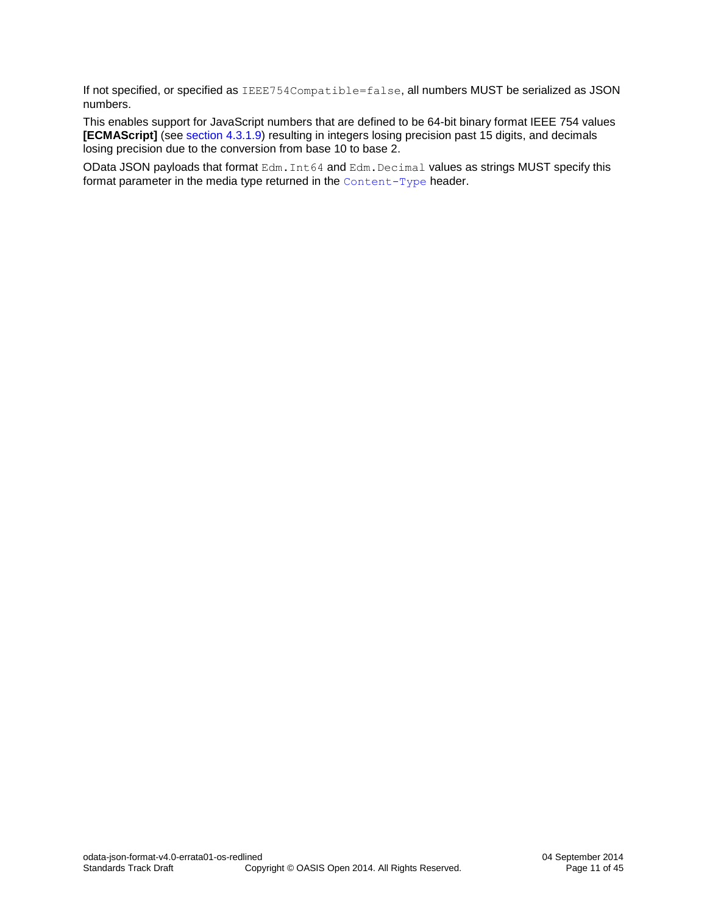If not specified, or specified as IEEE754Compatible=false, all numbers MUST be serialized as JSON numbers.

This enables support for JavaScript numbers that are defined to be 64-bit binary format IEEE 754 values **[\[ECMAScript\]](#page-6-2)** (see [section 4.3.1.9\)](http://www.ecma-international.org/ecma-262/5.1/#sec-4.3.19) resulting in integers losing precision past 15 digits, and decimals losing precision due to the conversion from base 10 to base 2.

OData JSON payloads that format Edm. Int64 and Edm. Decimal values as strings MUST specify this format parameter in the media type returned in the [Content-Type](#page-11-1) header.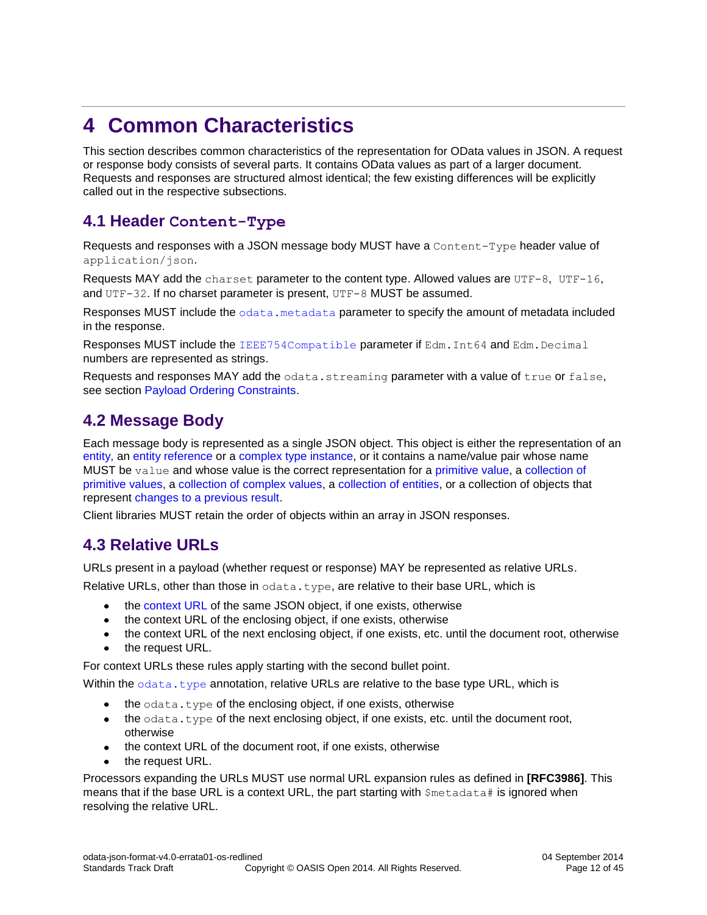# <span id="page-11-0"></span>**4 Common Characteristics**

This section describes common characteristics of the representation for OData values in JSON. A request or response body consists of several parts. It contains OData values as part of a larger document. Requests and responses are structured almost identical; the few existing differences will be explicitly called out in the respective subsections.

### <span id="page-11-1"></span>**4.1 Header Content-Type**

Requests and responses with a JSON message body MUST have a Content-Type header value of application/json.

Requests MAY add the charset parameter to the content type. Allowed values are UTF-8, UTF-16, and UTF-32. If no charset parameter is present, UTF-8 MUST be assumed.

Responses MUST include the [odata.metadata](#page-8-1) parameter to specify the amount of metadata included in the response.

Responses MUST include the [IEEE754Compatible](#page-9-2) parameter if Edm. Int64 and Edm. Decimal numbers are represented as strings.

Requests and responses MAY add the odata.streaming parameter with a value of true or false, see section [Payload Ordering Constraints.](#page-12-0)

### <span id="page-11-2"></span>**4.2 Message Body**

Each message body is represented as a single JSON object. This object is either the representation of an [entity,](#page-20-0) an [entity reference](#page-31-0) or a [complex type instance,](#page-22-0) or it contains a name/value pair whose name MUST be value and whose value is the correct representation for a [primitive value,](#page-21-1) a collection of [primitive values,](#page-22-3) a [collection of complex values,](#page-22-2) a [collection of entities,](#page-30-0) or a collection of objects that represent [changes to a previous result.](#page-32-0)

Client libraries MUST retain the order of objects within an array in JSON responses.

### <span id="page-11-3"></span>**4.3 Relative URLs**

URLs present in a payload (whether request or response) MAY be represented as relative URLs.

Relative URLs, other than those in  $\circ$  data.type, are relative to their base URL, which is

- $\bullet$ the [context](#page-13-1) URL of the same JSON object, if one exists, otherwise
- the context URL of the enclosing object, if one exists, otherwise
- the context URL of the next enclosing object, if one exists, etc. until the document root, otherwise
- the request URL.

For context URLs these rules apply starting with the second bullet point.

Within the  $odata.type$  annotation, relative URLs are relative to the base type URL, which is

- the odata.type of the enclosing object, if one exists, otherwise
- the odata.type of the next enclosing object, if one exists, etc. until the document root, otherwise
- the context URL of the document root, if one exists, otherwise
- the request URL.

Processors expanding the URLs MUST use normal URL expansion rules as defined in **[\[RFC3986\]](#page-5-7)**. This means that if the base URL is a context URL, the part starting with  $\frac{1}{2}$  metadata  $\frac{1}{2}$  is ignored when resolving the relative URL.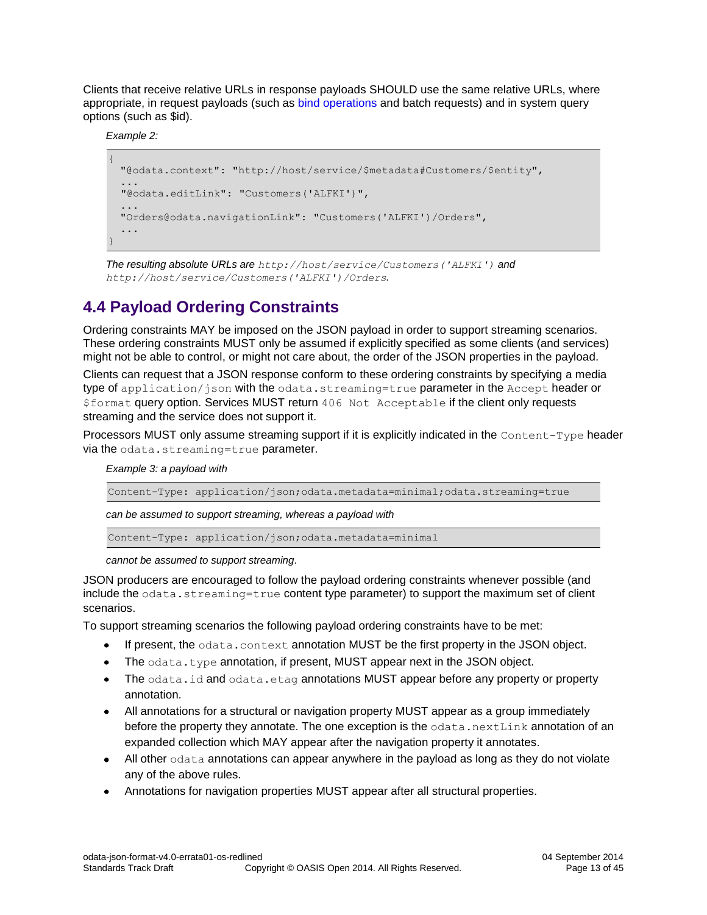Clients that receive relative URLs in response payloads SHOULD use the same relative URLs, where appropriate, in request payloads (such as [bind operations](#page-25-1) and batch requests) and in system query options (such as \$id).

*Example 2:*

```
{
 "@odata.context": "http://host/service/$metadata#Customers/$entity",
  ...
  "@odata.editLink": "Customers('ALFKI')",
  ...
 "Orders@odata.navigationLink": "Customers('ALFKI')/Orders",
  ...
}
```
*The resulting absolute URLs are http://host/service/Customers('ALFKI') and http://host/service/Customers('ALFKI')/Orders.*

### <span id="page-12-0"></span>**4.4 Payload Ordering Constraints**

Ordering constraints MAY be imposed on the JSON payload in order to support streaming scenarios. These ordering constraints MUST only be assumed if explicitly specified as some clients (and services) might not be able to control, or might not care about, the order of the JSON properties in the payload.

Clients can request that a JSON response conform to these ordering constraints by specifying a media type of application/json with the odata.streaming=true parameter in the Accept header or \$format query option. Services MUST return 406 Not Acceptable if the client only requests streaming and the service does not support it.

Processors MUST only assume streaming support if it is explicitly indicated in the Content-Type header via the odata.streaming=true parameter.

*Example 3: a payload with* 

Content-Type: application/json;odata.metadata=minimal;odata.streaming=true

*can be assumed to support streaming, whereas a payload with* 

Content-Type: application/json;odata.metadata=minimal

*cannot be assumed to support streaming.* 

JSON producers are encouraged to follow the payload ordering constraints whenever possible (and include the odata.streaming=true content type parameter) to support the maximum set of client scenarios.

To support streaming scenarios the following payload ordering constraints have to be met:

- If present, the odata.context annotation MUST be the first property in the JSON object.  $\bullet$
- The odata.type annotation, if present, MUST appear next in the JSON object.  $\bullet$
- The odata.id and odata.etag annotations MUST appear before any property or property  $\bullet$ annotation.
- All annotations for a structural or navigation property MUST appear as a group immediately before the property they annotate. The one exception is the  $\text{odata.nextLink}$  annotation of an expanded collection which MAY appear after the navigation property it annotates.
- $\bullet$  All other  $odata$  annotations can appear anywhere in the payload as long as they do not violate any of the above rules.
- Annotations for navigation properties MUST appear after all structural properties.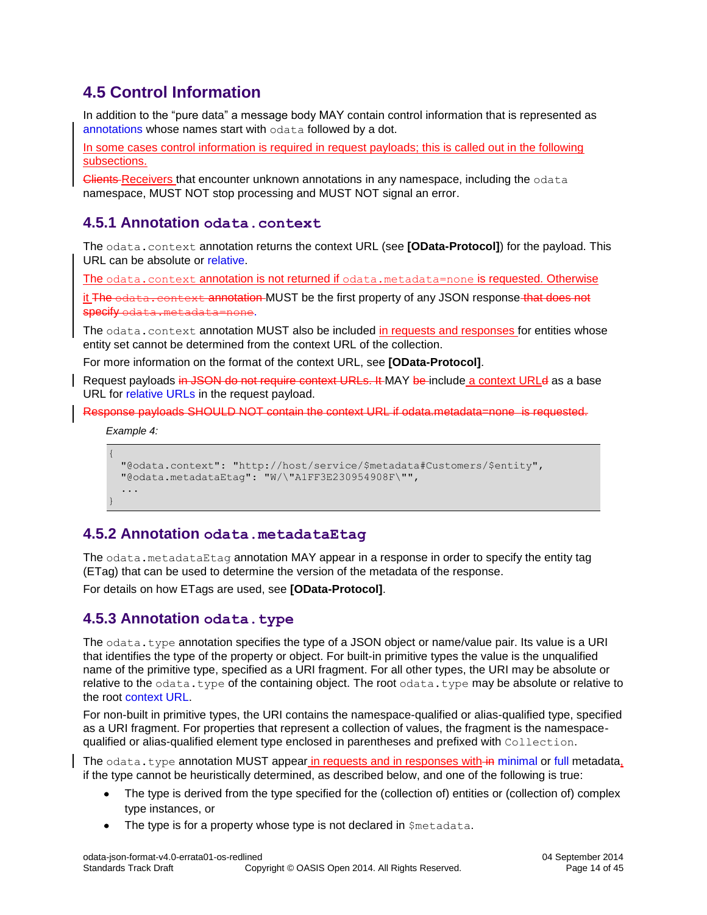### <span id="page-13-0"></span>**4.5 Control Information**

In addition to the "pure data" a message body MAY contain control information that is represented as [annotations](#page-38-0) whose names start with odata followed by a dot.

In some cases control information is required in request payloads; this is called out in the following subsections.

Clients Receivers that encounter unknown annotations in any namespace, including the odata namespace, MUST NOT stop processing and MUST NOT signal an error.

#### <span id="page-13-1"></span>**4.5.1 Annotation odata.context**

The odata.context annotation returns the context URL (see **[\[OData-Protocol\]](#page-5-3)**) for the payload. This URL can be absolute or [relative.](#page-11-3)

The odata.context annotation is not returned if [odata.metadata=none](#page-9-1) is requested. Otherwise

it The odata.context annotation MUST be the first property of any JSON response that does not  $s$ pecify odata

The odata.context annotation MUST also be included in requests and responses for entities whose entity set cannot be determined from the context URL of the collection.

For more information on the format of the context URL, see **[\[OData-Protocol\]](#page-5-3)**.

Request payloads in JSON do not require context URLs. It MAY be include a context URLd as a base URL for [relative URLs](#page-11-3) in the request payload.

Response payloads SHOULD NOT contain the context URL if odata.metadata=none is requested.

*Example 4:*

```
{
  "@odata.context": "http://host/service/$metadata#Customers/$entity",
  "@odata.metadataEtag": "W/\"A1FF3E230954908F\"",
 ...
}
```
#### <span id="page-13-2"></span>**4.5.2 Annotation odata.metadataEtag**

The odata.metadataEtag annotation MAY appear in a response in order to specify the entity tag (ETag) that can be used to determine the version of the metadata of the response.

For details on how ETags are used, see **[\[OData-Protocol\]](#page-5-3)**.

#### <span id="page-13-3"></span>**4.5.3 Annotation odata.type**

The odata.type annotation specifies the type of a JSON object or name/value pair. Its value is a URI that identifies the type of the property or object. For built-in primitive types the value is the unqualified name of the primitive type, specified as a URI fragment. For all other types, the URI may be absolute or relative to the  $\circ$ data.type of the containing object. The root  $\circ$ data.type may be absolute or relative to the root [context URL.](#page-13-1)

For non-built in primitive types, the URI contains the namespace-qualified or alias-qualified type, specified as a URI fragment. For properties that represent a collection of values, the fragment is the namespacequalified or alias-qualified element type enclosed in parentheses and prefixed with Collection.

The odata.type annotation MUST appear in requests and in responses with in [minimal](#page-8-2) or [full](#page-9-0) metadata, if the type cannot be heuristically determined, as described below, and one of the following is true:

- The type is derived from the type specified for the (collection of) entities or (collection of) complex type instances, or
- The type is for a property whose type is not declared in \$metadata.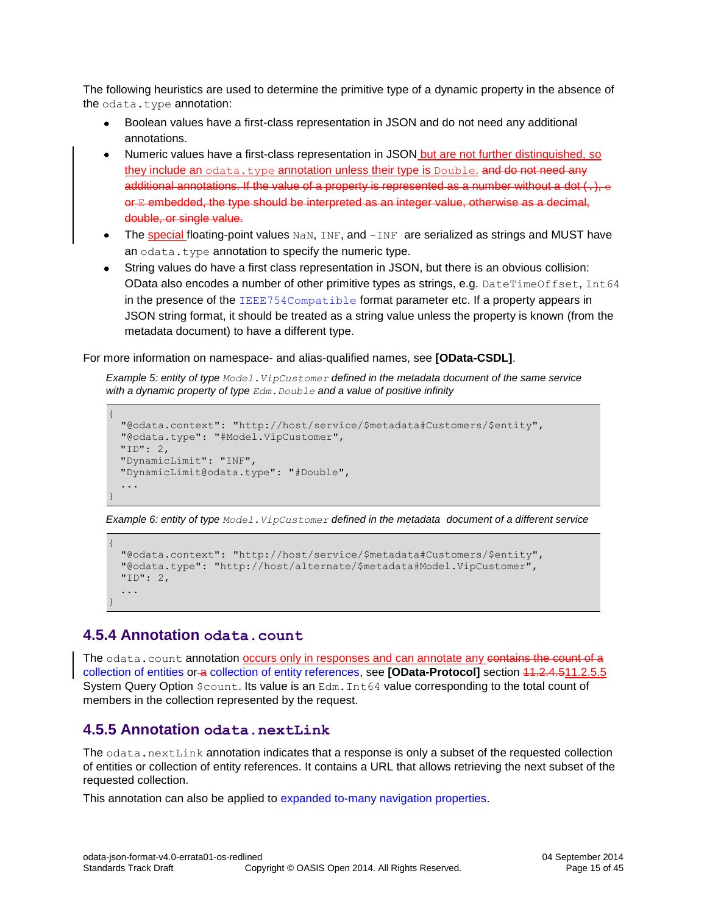The following heuristics are used to determine the primitive type of a dynamic property in the absence of the odata.type annotation:

- Boolean values have a first-class representation in JSON and do not need any additional annotations.
- Numeric values have a first-class representation in JSON but are not further distinguished, so  $\bullet$ they include an [odata.type](#page-13-3) annotation unless their type is Double. and do not need any additional annotations. If the value of a property is represented as a number without a dot  $(.)$ ,  $\epsilon$ or E embedded, the type should be interpreted as an integer value, otherwise as a decimal, double, or single value.
- The special floating-point values NaN, INF, and -INF are serialized as strings and MUST have an [odata.type](#page-13-3) annotation to specify the numeric type.
- String values do have a first class representation in JSON, but there is an obvious collision: OData also encodes a number of other primitive types as strings, e.g. DateTimeOffset, Int64 in the presence of the [IEEE754Compatible](#page-9-2) format parameter etc. If a property appears in JSON string format, it should be treated as a string value unless the property is known (from the metadata document) to have a different type.

For more information on namespace- and alias-qualified names, see **[\[OData-CSDL\]](#page-5-8)**.

*Example 5: entity of type Model.VipCustomer defined in the metadata document of the same service with a dynamic property of type Edm.Double and a value of positive infinity*

```
{
  "@odata.context": "http://host/service/$metadata#Customers/$entity",
  "@odata.type": "#Model.VipCustomer",
 "ID": 2,
 "DynamicLimit": "INF",
 "DynamicLimit@odata.type": "#Double",
 ...
}
```
*Example 6: entity of type Model.VipCustomer defined in the metadata document of a different service*

```
{
  "@odata.context": "http://host/service/$metadata#Customers/$entity",
  "@odata.type": "http://host/alternate/$metadata#Model.VipCustomer",
  "ID": 2,
  ...
}
```
#### <span id="page-14-0"></span>**4.5.4 Annotation odata.count**

The odata.count annotation occurs only in responses and can annotate any contains the count of a collection [of entities](#page-30-0) or a [collection of entity references,](#page-31-0) see **[\[OData-Protocol\]](#page-5-3)** section 11.2.4.511.2.5.5 System Query Option  $$count$ . Its value is an Edm. Int64 value corresponding to the total count of members in the collection represented by the request.

#### <span id="page-14-1"></span>**4.5.5 Annotation odata.nextLink**

The odata.nextLink annotation indicates that a response is only a subset of the requested collection of entities or collection of entity references. It contains a URL that allows retrieving the next subset of the requested collection.

This annotation can also be applied to [expanded to-many navigation properties.](#page-24-3)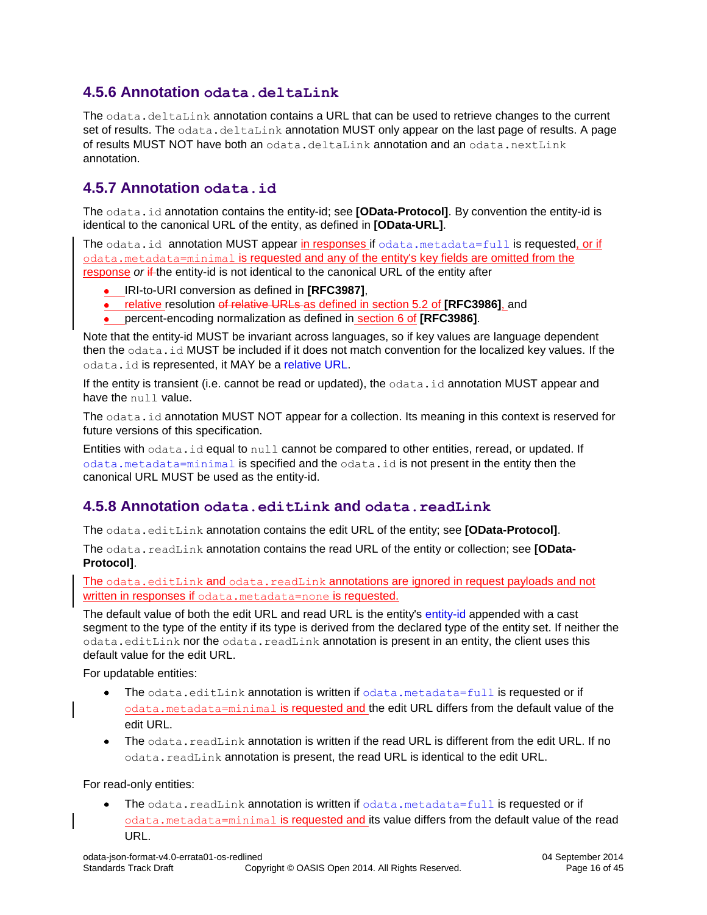### <span id="page-15-0"></span>**4.5.6 Annotation odata.deltaLink**

The odata.deltaLink annotation contains a URL that can be used to retrieve changes to the current set of results. The odata.deltaLink annotation MUST only appear on the last page of results. A page of results MUST NOT have both an  $\text{odata}.$  deltaLink annotation and an  $\text{odata}.$  nextLink annotation.

### <span id="page-15-1"></span>**4.5.7 Annotation odata.id**

The odata.id annotation contains the entity-id; see **[\[OData-Protocol\]](#page-5-3)**. By convention the entity-id is identical to the canonical URL of the entity, as defined in **[\[OData-URL\]](#page-5-9)**.

The odata.id annotation MUST appear in responses if [odata.metadata=full](#page-9-0) is requested, or if [odata.metadata=minimal](#page-8-2) is requested and any of the entity's key fields are omitted from the response *or* if the entity-id is not identical to the canonical URL of the entity after

- IRI-to-URI conversion as defined in **[\[RFC3987\]](#page-5-10)**,
- relative resolution of relative URLs as defined in section 5.2 of **[\[RFC3986\]](#page-5-7)**, and
- percent-encoding normalization as defined in section 6 of **[\[RFC3986\]](#page-5-7)**.

Note that the entity-id MUST be invariant across languages, so if key values are language dependent then the odata.id MUST be included if it does not match convention for the localized key values. If the odata.id is represented, it MAY be a [relative URL.](#page-11-3)

If the entity is transient (i.e. cannot be read or updated), the  $\text{odata}$ , id annotation MUST appear and have the null value.

The odata.id annotation MUST NOT appear for a collection. Its meaning in this context is reserved for future versions of this specification.

Entities with odata.id equal to null cannot be compared to other entities, reread, or updated. If [odata.metadata=minimal](#page-8-2) is specified and the odata.id is not present in the entity then the canonical URL MUST be used as the entity-id.

#### <span id="page-15-2"></span>**4.5.8 Annotation odata.editLink and odata.readLink**

The odata.editLink annotation contains the edit URL of the entity; see **[\[OData-Protocol\]](#page-5-3)**.

The odata.readLink annotation contains the read URL of the entity or collection; see **[\[OData-](#page-5-3)[Protocol\]](#page-5-3)**.

The odata.editLink and odata.readLink annotations are ignored in request payloads and not written in responses if [odata.metadata=none](#page-9-1) is requested.

The default value of both the edit URL and read URL is the entity's [entity-id](#page-15-1) appended with a cast segment to the type of the entity if its type is derived from the declared type of the entity set. If neither the odata.editLink nor the odata.readLink annotation is present in an entity, the client uses this default value for the edit URL.

For updatable entities:

- $\bullet$  The odata.editLink annotation is written if [odata.metadata=full](#page-9-0) is requested or if [odata.metadata=minimal](#page-8-2) is requested and the edit URL differs from the default value of the edit URL.
- The odata.readLink annotation is written if the read URL is different from the edit URL. If no odata.readLink annotation is present, the read URL is identical to the edit URL.

For read-only entities:

The odata.readLink annotation is written if [odata.metadata=full](#page-9-0) is requested or if [odata.metadata=minimal](#page-8-2) is requested and its value differs from the default value of the read URL.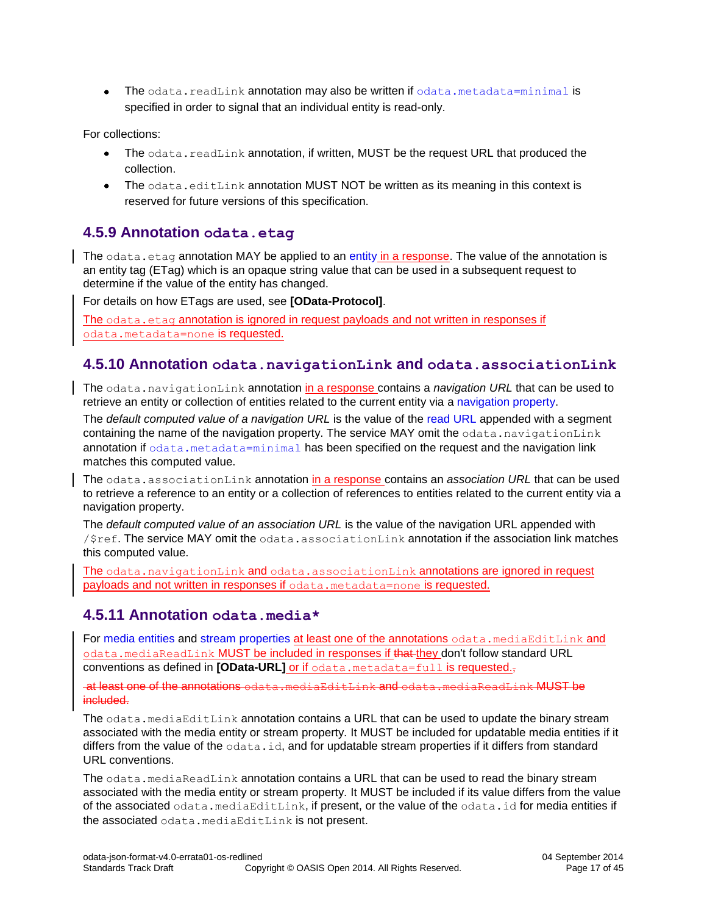• The odata.readLink annotation may also be written if [odata.metadata=minimal](#page-8-2) is specified in order to signal that an individual entity is read-only.

For collections:

- The odata.readLink annotation, if written, MUST be the request URL that produced the  $\bullet$ collection.
- The odata.editLink annotation MUST NOT be written as its meaning in this context is reserved for future versions of this specification.

#### <span id="page-16-0"></span>**4.5.9 Annotation odata.etag**

The  $\text{odata}.$  etag annotation MAY be applied to an [entity](#page-20-0) in a response. The value of the annotation is an entity tag (ETag) which is an opaque string value that can be used in a subsequent request to determine if the value of the entity has changed.

For details on how ETags are used, see **[\[OData-Protocol\]](#page-5-3)**.

<span id="page-16-4"></span>The odata.etag annotation is ignored in request payloads and not written in responses if [odata.metadata=none](#page-9-1) is requested.

#### <span id="page-16-1"></span>**4.5.10 Annotation odata.navigationLink and odata.associationLink**

The odata.navigationLink annotation in a response contains a *navigation URL* that can be used to retrieve an entity or collection of entities related to the current entity via a [navigation property.](#page-24-0)

The *default computed value of a navigation URL* is the value of the [read](#page-15-2) URL appended with a segment containing the name of the navigation property. The service MAY omit the odata.navigationLink annotation if [odata.metadata=minimal](#page-8-2) has been specified on the request and the navigation link matches this computed value.

The odata.associationLink annotation in a response contains an *association URL* that can be used to retrieve a reference to an entity or a collection of references to entities related to the current entity via a navigation property.

The *default computed value of an association URL* is the value of the navigation URL appended with  $\sqrt{3}$ ref. The service MAY omit the odata.associationLink annotation if the association link matches this computed value.

<span id="page-16-3"></span>The odata.navigationLink and odata.associationLink annotations are ignored in request payloads and not written in responses if [odata.metadata=none](#page-9-1) is requested.

#### <span id="page-16-2"></span>**4.5.11 Annotation odata.media\***

For [media entities](#page-28-0) and [stream properties](#page-27-0) at least one of the annotations odata.mediaEditLink and odata.mediaReadLink MUST be included in responses if that they don't follow standard URL conventions as defined in **[\[OData-URL\]](#page-5-9)** or if [odata.metadata=full](#page-9-0) is requested.

at least one of the annotations odata.mediaEditLink and odata.mediaReadLink MUST be included.

The odata.mediaEditLink annotation contains a URL that can be used to update the binary stream associated with the media entity or stream property. It MUST be included for updatable media entities if it differs from the value of the odata.id, and for updatable stream properties if it differs from standard URL conventions.

The odata.mediaReadLink annotation contains a URL that can be used to read the binary stream associated with the media entity or stream property. It MUST be included if its value differs from the value of the associated odata.mediaEditLink, if present, or the value of the odata.id for media entities if the associated odata.mediaEditLink is not present.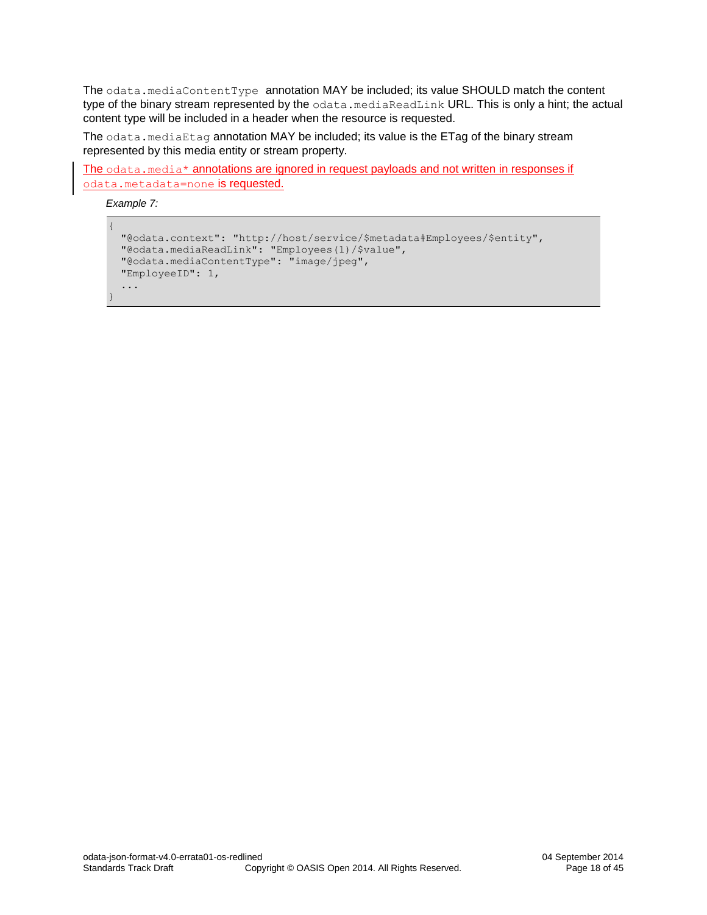The odata.mediaContentType annotation MAY be included; its value SHOULD match the content type of the binary stream represented by the odata.mediaReadLink URL. This is only a hint; the actual content type will be included in a header when the resource is requested.

The odata.mediaEtag annotation MAY be included; its value is the ETag of the binary stream represented by this media entity or stream property.

The odata.media\* annotations are ignored in request payloads and not written in responses if [odata.metadata=none](#page-9-1) is requested.

*Example 7:*

```
{
  "@odata.context": "http://host/service/$metadata#Employees/$entity",
  "@odata.mediaReadLink": "Employees(1)/$value",
  "@odata.mediaContentType": "image/jpeg",
  "EmployeeID": 1,
  ...
}
```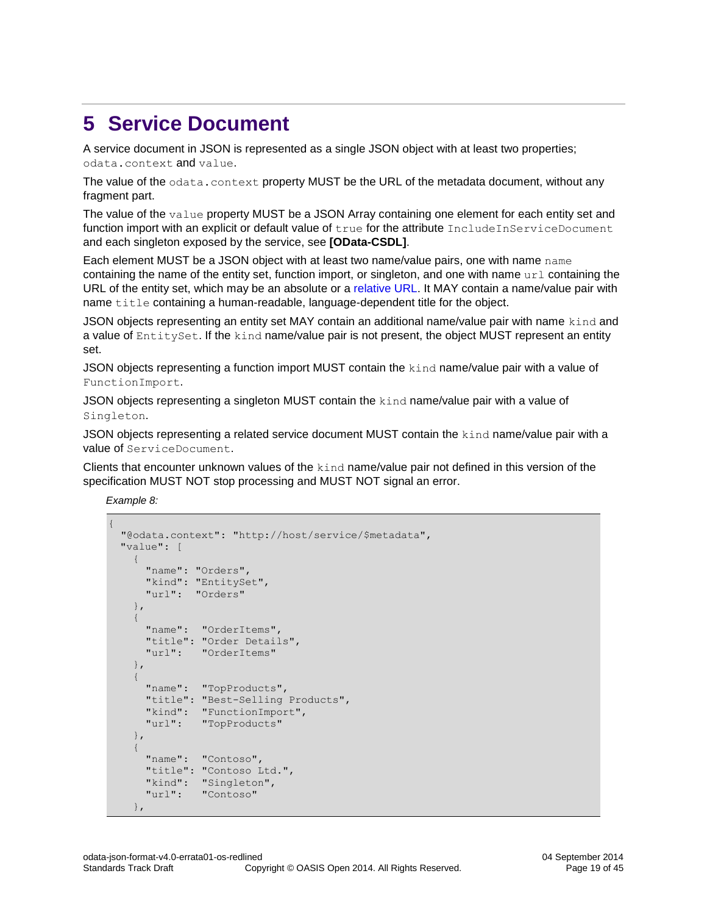### <span id="page-18-0"></span>**5 Service Document**

A service document in JSON is represented as a single JSON object with at least two properties; odata.context and value.

The value of the odata.context property MUST be the URL of the metadata document, without any fragment part.

The value of the value property MUST be a JSON Array containing one element for each entity set and function import with an explicit or default value of true for the attribute IncludeInServiceDocument and each singleton exposed by the service, see **[\[OData-CSDL\]](#page-5-8)**.

Each element MUST be a JSON object with at least two name/value pairs, one with name name containing the name of the entity set, function import, or singleton, and one with name  $\text{url}$  containing the URL of the entity set, which may be an absolute or a [relative URL.](#page-11-3) It MAY contain a name/value pair with name title containing a human-readable, language-dependent title for the object.

JSON objects representing an entity set MAY contain an additional name/value pair with name kind and a value of EntitySet. If the kind name/value pair is not present, the object MUST represent an entity set.

JSON objects representing a function import MUST contain the kind name/value pair with a value of FunctionImport.

JSON objects representing a singleton MUST contain the kind name/value pair with a value of Singleton.

JSON objects representing a related service document MUST contain the kind name/value pair with a value of ServiceDocument.

Clients that encounter unknown values of the kind name/value pair not defined in this version of the specification MUST NOT stop processing and MUST NOT signal an error.

*Example 8:*

{

```
 "@odata.context": "http://host/service/$metadata",
   "value": [
        { 
            "name": "Orders",
            "kind": "EntitySet",
            "url": "Orders"
        },
         {
            "name": "OrderItems",
            "title": "Order Details",
            "url": "OrderItems"
        },
\left\{ \begin{array}{ccc} 0 & 0 & 0 \\ 0 & 0 & 0 \\ 0 & 0 & 0 \\ 0 & 0 & 0 \\ 0 & 0 & 0 \\ 0 & 0 & 0 \\ 0 & 0 & 0 \\ 0 & 0 & 0 \\ 0 & 0 & 0 \\ 0 & 0 & 0 \\ 0 & 0 & 0 \\ 0 & 0 & 0 \\ 0 & 0 & 0 \\ 0 & 0 & 0 & 0 \\ 0 & 0 & 0 & 0 \\ 0 & 0 & 0 & 0 \\ 0 & 0 & 0 & 0 & 0 \\ 0 & 0 & 0 & 0 & 0 \\ 0 & 0 & 0 & 0 & 0 \\ 0 & 0 & 0 & 0 "name": "TopProducts",
            "title": "Best-Selling Products",
            "kind": "FunctionImport",
            "url": "TopProducts"
        },
\left\{\begin{array}{ccc} & & \\ & & \end{array}\right\} "name": "Contoso",
            "title": "Contoso Ltd.",
            "kind": "Singleton",
            "url": "Contoso"
        },
```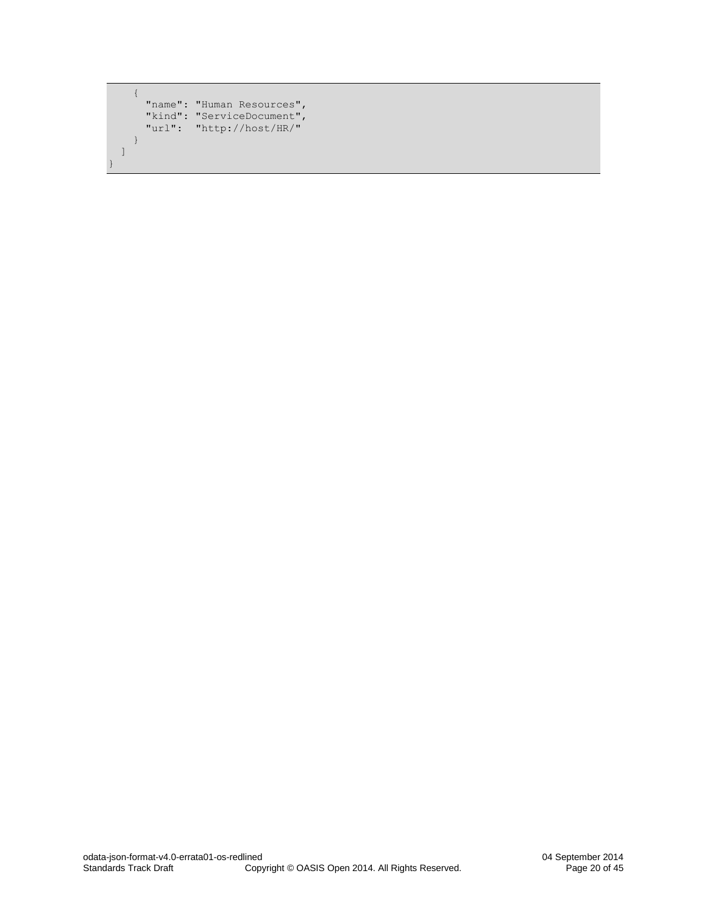```
 {
"name": "Human Resources",
 "kind": "ServiceDocument",
 "url": "http://host/HR/"
    }
  ]
```
}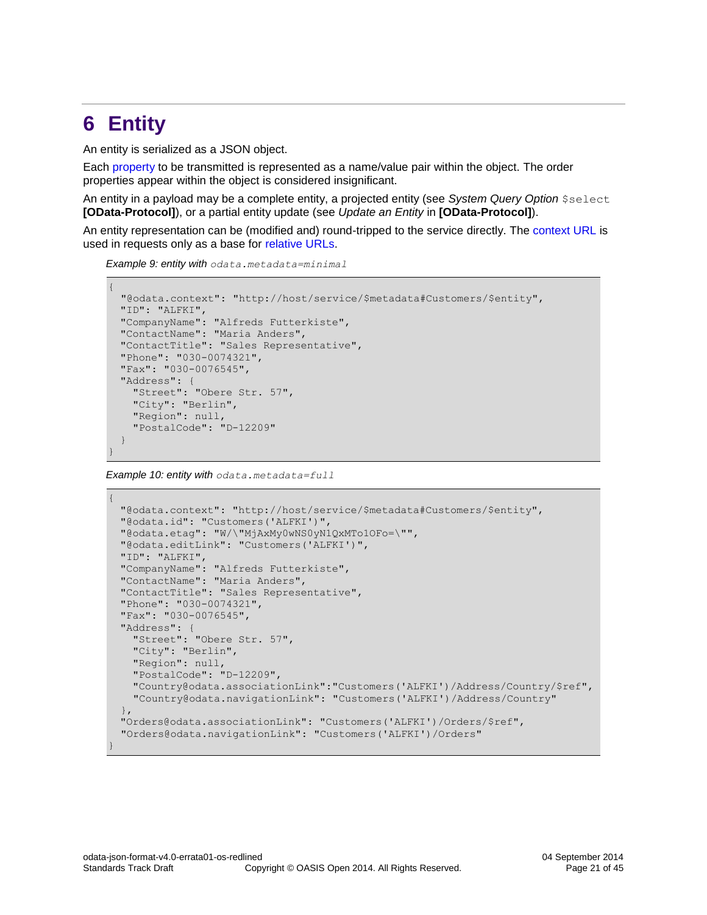### <span id="page-20-0"></span>**6 Entity**

An entity is serialized as a JSON object.

Each [property](#page-21-0) to be transmitted is represented as a name/value pair within the object. The order properties appear within the object is considered insignificant.

An entity in a payload may be a complete entity, a projected entity (see *System Query Option* \$select **[\[OData-Protocol\]](#page-5-3)**), or a partial entity update (see *Update an Entity* in **[\[OData-Protocol\]](#page-5-3)**).

An entity representation can be (modified and) round-tripped to the service directly. The [context URL](#page-13-1) is used in requests only as a base for [relative URLs.](#page-11-3)

*Example 9: entity with odata.metadata=minimal*

```
{
  "@odata.context": "http://host/service/$metadata#Customers/$entity",
 "ID": "ALFKI",
 "CompanyName": "Alfreds Futterkiste",
 "ContactName": "Maria Anders",
 "ContactTitle": "Sales Representative",
 "Phone": "030-0074321",
 "Fax": "030-0076545",
 "Address": {
    "Street": "Obere Str. 57",
    "City": "Berlin",
    "Region": null,
    "PostalCode": "D-12209"
 }
}
```
*Example 10: entity with odata.metadata=full*

```
{
 "@odata.context": "http://host/service/$metadata#Customers/$entity",
 "@odata.id": "Customers('ALFKI')",
 "@odata.etag": "W/\"MjAxMy0wNS0yN1QxMTo1OFo=\"",
 "@odata.editLink": "Customers('ALFKI')",
 "ID": "ALFKI",
 "CompanyName": "Alfreds Futterkiste",
 "ContactName": "Maria Anders",
 "ContactTitle": "Sales Representative",
 "Phone": "030-0074321",
 "Fax": "030-0076545",
 "Address": {
    "Street": "Obere Str. 57",
    "City": "Berlin",
    "Region": null,
    "PostalCode": "D-12209",
    "Country@odata.associationLink":"Customers('ALFKI')/Address/Country/$ref",
    "Country@odata.navigationLink": "Customers('ALFKI')/Address/Country"
  },
 "Orders@odata.associationLink": "Customers('ALFKI')/Orders/$ref",
  "Orders@odata.navigationLink": "Customers('ALFKI')/Orders"
}
```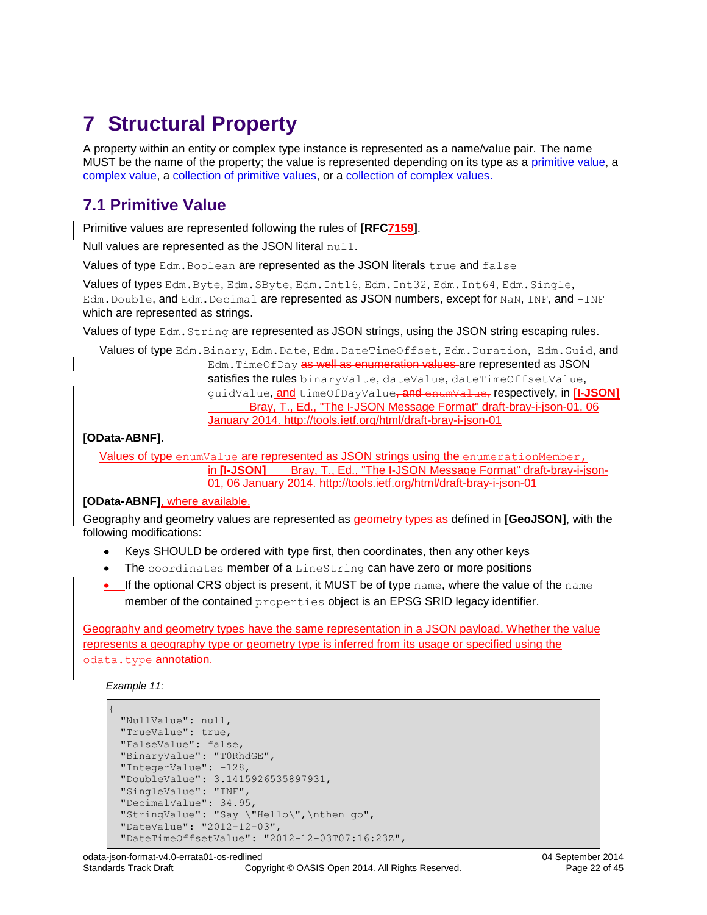# <span id="page-21-0"></span>**7 Structural Property**

A property within an entity or complex type instance is represented as a name/value pair. The name MUST be the name of the property; the value is represented depending on its type as a [primitive value,](#page-21-1) a [complex value,](#page-22-0) a [collection of primitive values,](#page-22-3) or a [collection of complex values.](#page-22-2)

### <span id="page-21-1"></span>**7.1 Primitive Value**

Primitive values are represented following the rules of **[\[RFC7159\]](#page-6-1)**.

Null values are represented as the JSON literal null.

Values of type Edm.Boolean are represented as the JSON literals true and false

Values of types Edm.Byte, Edm.SByte, Edm.Int16, Edm.Int32, Edm.Int64, Edm.Single, Edm. Double, and Edm. Decimal are represented as JSON numbers, except for NaN, INF, and -INF which are represented as strings.

Values of type Edm. String are represented as JSON strings, using the JSON string escaping rules.

Values of type Edm.Binary, Edm.Date, Edm.DateTimeOffset, Edm.Duration, Edm.Guid, and Edm. TimeOfDay as well as enumeration values are represented as JSON satisfies the rules binaryValue, dateValue, dateTimeOffsetValue, guidValue, and timeOfDayValue, and enumValue, respectively, in **[\[I-JSON\]](#page-5-6)** [Bray, T., Ed., "The I-JSON Message Format" draft-bray-i-json-01, 06](#page-5-6)  January 2014. [http://tools.ietf.org/html/draft-bray-i-json-01](#page-5-6)

**[\[OData-ABNF\]](#page-5-6)**.

Values of type enumValue are represented as JSON strings using the enumerationMember, in [I-JSON] [Bray, T., Ed., "The I-JSON Message Format" draft-bray-i-json-](#page-5-6)01, 06 January 2014. [http://tools.ietf.org/html/draft-bray-i-json-01](#page-5-6)

#### **[\[OData-ABNF\]](#page-5-6)**, where available.

Geography and geometry values are represented as geometry types as defined in **[\[GeoJSON\]](#page-5-11)**, with the following modifications:

- Keys SHOULD be ordered with type first, then coordinates, then any other keys
- The coordinates member of a LineString can have zero or more positions  $\bullet$
- $\bullet$  If the optional CRS object is present, it MUST be of type name, where the value of the name member of the contained properties object is an EPSG SRID legacy identifier.

Geography and geometry types have the same representation in a JSON payload. Whether the value represents a geography type or geometry type is inferred from its usage or specified using the [odata.type](#page-13-3) annotation.

*Example 11:*

```
{
 "NullValue": null,
 "TrueValue": true,
 "FalseValue": false,
 "BinaryValue": "T0RhdGE",
 "IntegerValue": -128,
 "DoubleValue": 3.1415926535897931,
 "SingleValue": "INF",
 "DecimalValue": 34.95,
 "StringValue": "Say \"Hello\",\nthen go",
 "DateValue": "2012-12-03",
 "DateTimeOffsetValue": "2012-12-03T07:16:23Z",
```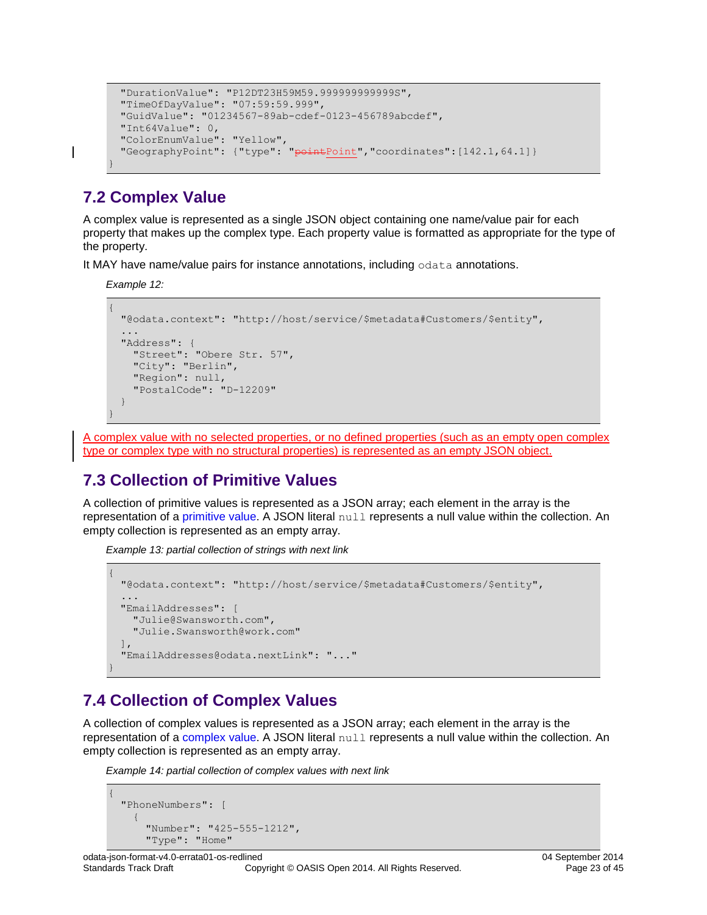```
"DurationValue": "P12DT23H59M59.999999999999S",
"TimeOfDayValue": "07:59:59.999",
"GuidValue": "01234567-89ab-cdef-0123-456789abcdef",
"Int64Value": 0,
"ColorEnumValue": "Yellow",
"GeographyPoint": {"type": "<del>point</del>Point", "coordinates": [142.1,64.1] }
```
### <span id="page-22-0"></span>**7.2 Complex Value**

A complex value is represented as a single JSON object containing one name/value pair for each property that makes up the complex type. Each property value is formatted as appropriate for the type of the property.

It MAY have name/value pairs for instance annotations, including odata annotations.

*Example 12:*

}

```
{
  "@odata.context": "http://host/service/$metadata#Customers/$entity",
 ...
  "Address": { 
    "Street": "Obere Str. 57",
     "City": "Berlin",
    "Region": null,
     "PostalCode": "D-12209"
 }
}
```
<span id="page-22-3"></span>A complex value with no selected properties, or no defined properties (such as an empty open complex type or complex type with no structural properties) is represented as an empty JSON object.

### <span id="page-22-1"></span>**7.3 Collection of Primitive Values**

A collection of primitive values is represented as a JSON array; each element in the array is the representation of a [primitive](#page-21-1) value. A JSON literal null represents a null value within the collection. An empty collection is represented as an empty array.

*Example 13: partial collection of strings with next link*

```
{
  "@odata.context": "http://host/service/$metadata#Customers/$entity",
 ...
 "EmailAddresses": [ 
    "Julie@Swansworth.com", 
    "Julie.Swansworth@work.com" 
 ],
  "EmailAddresses@odata.nextLink": "..."
}
```
### <span id="page-22-2"></span>**7.4 Collection of Complex Values**

A collection of complex values is represented as a JSON array; each element in the array is the representation of a [complex](#page-22-0) value. A JSON literal null represents a null value within the collection. An empty collection is represented as an empty array.

*Example 14: partial collection of complex values with next link*

```
{
   "PhoneNumbers": [
     {
       "Number": "425-555-1212", 
       "Type": "Home"
```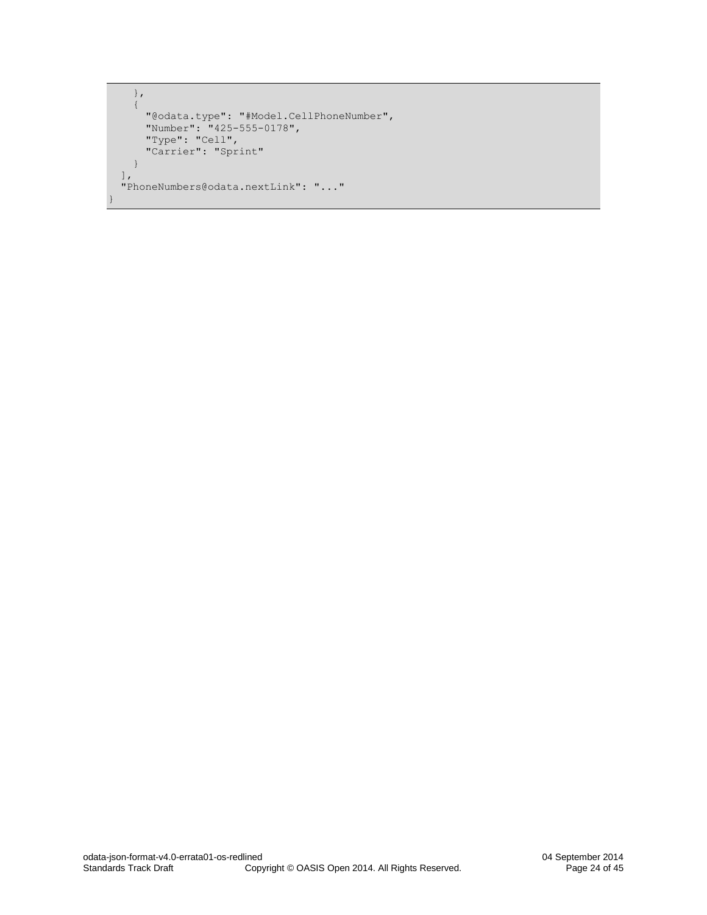```
 },
    {
 "@odata.type": "#Model.CellPhoneNumber",
 "Number": "425-555-0178",
 "Type": "Cell",
 "Carrier": "Sprint"
    } 
  ],
  "PhoneNumbers@odata.nextLink": "..."
}
```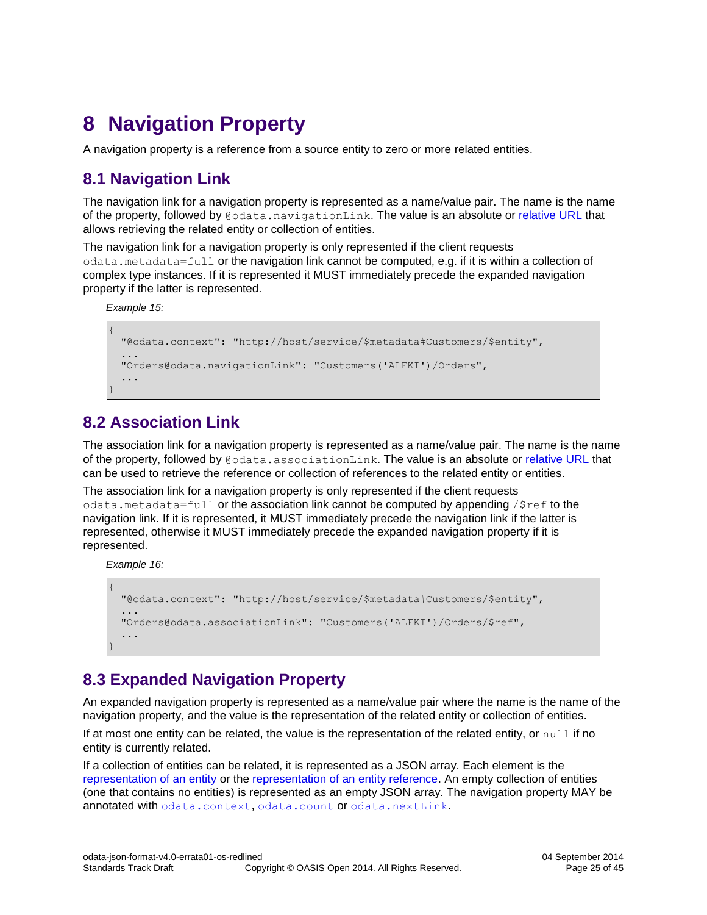# <span id="page-24-0"></span>**8 Navigation Property**

A navigation property is a reference from a source entity to zero or more related entities.

### <span id="page-24-1"></span>**8.1 Navigation Link**

The navigation link for a navigation property is represented as a name/value pair. The name is the name of the property, followed by @odata.navigationLink. The value is an absolute or [relative](#page-11-3) URL that allows retrieving the related entity or collection of entities.

The navigation link for a navigation property is only represented if the client requests odata.metadata=full or the navigation link cannot be computed, e.g. if it is within a collection of complex type instances. If it is represented it MUST immediately precede the expanded navigation property if the latter is represented.

*Example 15:*

```
{
  "@odata.context": "http://host/service/$metadata#Customers/$entity",
 ...
  "Orders@odata.navigationLink": "Customers('ALFKI')/Orders",
   ...
}
```
### <span id="page-24-2"></span>**8.2 Association Link**

The association link for a navigation property is represented as a name/value pair. The name is the name of the property, followed by @odata.associationLink. The value is an absolute or [relative](#page-11-3) URL that can be used to retrieve the reference or collection of references to the related entity or entities.

The association link for a navigation property is only represented if the client requests odata.metadata=full or the association link cannot be computed by appending  $/$ \$ref to the navigation link. If it is represented, it MUST immediately precede the navigation link if the latter is represented, otherwise it MUST immediately precede the expanded navigation property if it is represented.

*Example 16:*

```
{
  "@odata.context": "http://host/service/$metadata#Customers/$entity",
 ...
  "Orders@odata.associationLink": "Customers('ALFKI')/Orders/$ref",
   ...
}
```
### <span id="page-24-3"></span>**8.3 Expanded Navigation Property**

An expanded navigation property is represented as a name/value pair where the name is the name of the navigation property, and the value is the representation of the related entity or collection of entities.

If at most one entity can be related, the value is the representation of the related entity, or  $null$  if no entity is currently related.

If a collection of entities can be related, it is represented as a JSON array. Each element is the [representation of an entity](#page-20-0) or the [representation of an entity reference.](#page-31-0) An empty collection of entities (one that contains no entities) is represented as an empty JSON array. The navigation property MAY be annotated with [odata.context](#page-13-1), odata.count or [odata.nextLink](#page-14-0).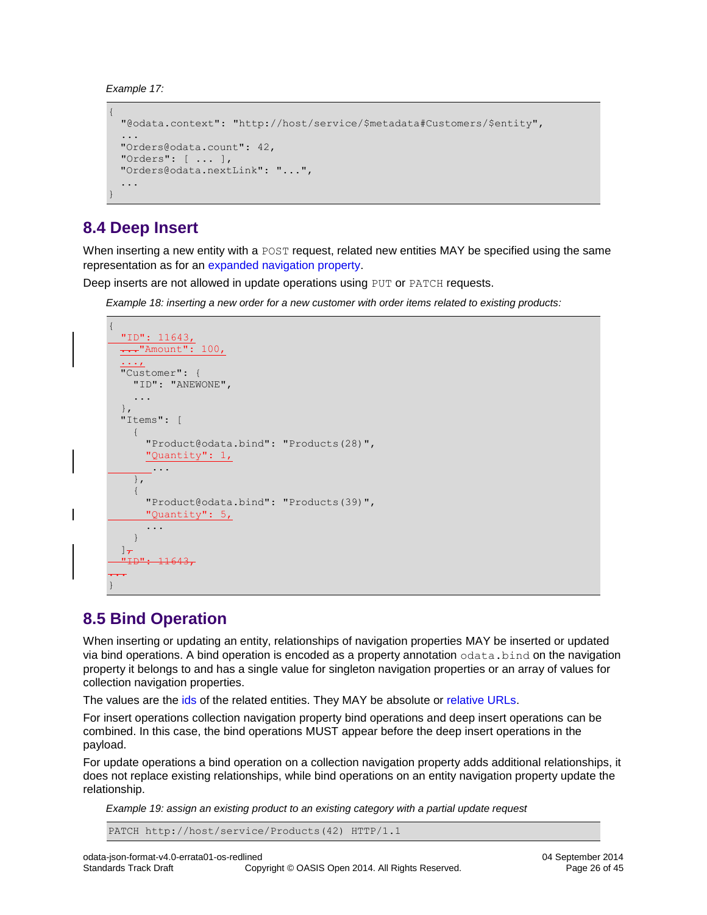*Example 17:*

```
{
  "@odata.context": "http://host/service/$metadata#Customers/$entity",
 ...
 "Orders@odata.count": 42,
  "Orders": [ ... ],
 "Orders@odata.nextLink": "...",
  ...
}
```
### <span id="page-25-0"></span>**8.4 Deep Insert**

When inserting a new entity with a POST request, related new entities MAY be specified using the same representation as for an [expanded navigation property.](#page-24-3)

Deep inserts are not allowed in update operations using PUT or PATCH requests.

*Example 18: inserting a new order for a new customer with order items related to existing products:*

```
{
  "ID": 11643,
 ..."Amount": 100,
   ...,
  "Customer": {
     "ID": "ANEWONE",
     ...
   },
  "Items": [
     {
        "Product@odata.bind": "Products(28)",
        "Quantity": 1,
         ...
     },
     {
        "Product@odata.bind": "Products(39)",
       "Quantity": 5,
        ...
     }
  \frac{1}{\tau}"I\!\!D": 11643,
...
}
```
### <span id="page-25-1"></span>**8.5 Bind Operation**

When inserting or updating an entity, relationships of navigation properties MAY be inserted or updated via bind operations. A bind operation is encoded as a property annotation  $\circ$ data.bind on the navigation property it belongs to and has a single value for singleton navigation properties or an array of values for collection navigation properties.

The values are the [ids](#page-15-1) of the related entities. They MAY be absolute or [relative URLs.](#page-11-3)

For insert operations collection navigation property bind operations and deep insert operations can be combined. In this case, the bind operations MUST appear before the deep insert operations in the payload.

For update operations a bind operation on a collection navigation property adds additional relationships, it does not replace existing relationships, while bind operations on an entity navigation property update the relationship.

*Example 19: assign an existing product to an existing category with a partial update request*

```
PATCH http://host/service/Products(42) HTTP/1.1
```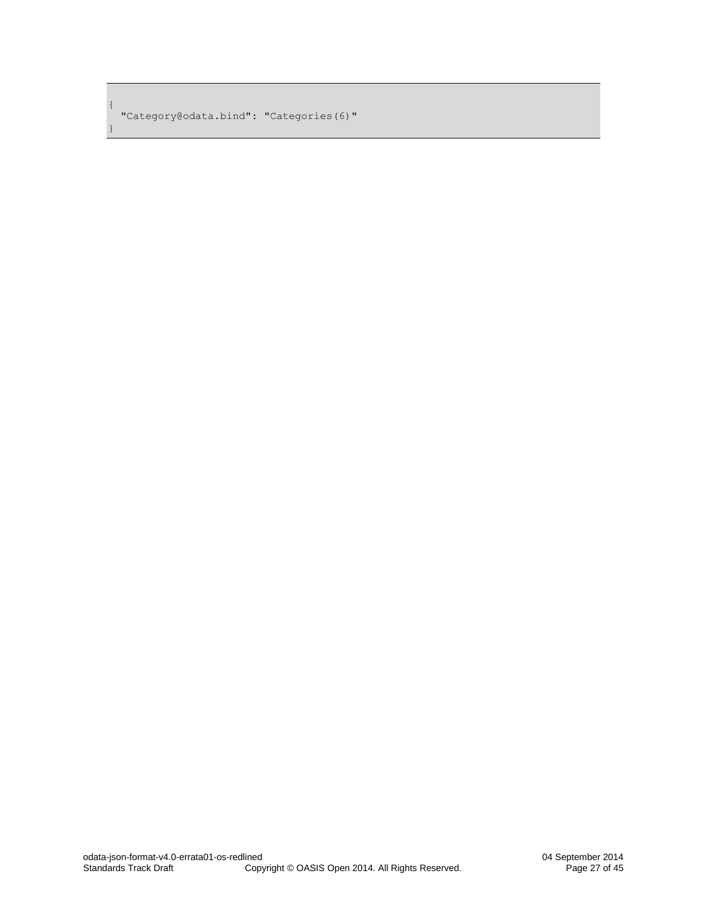"Category@odata.bind": "Categories(6)"

{

}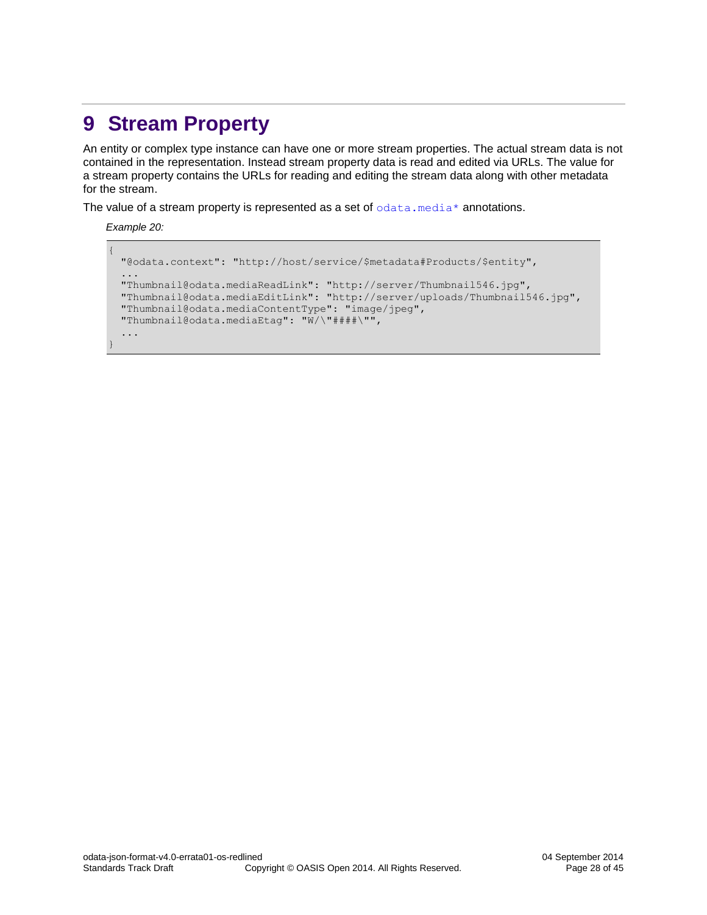# <span id="page-27-0"></span>**9 Stream Property**

An entity or complex type instance can have one or more stream properties. The actual stream data is not contained in the representation. Instead stream property data is read and edited via URLs. The value for a stream property contains the URLs for reading and editing the stream data along with other metadata for the stream.

The value of a stream property is represented as a set of  $odata$ . media\* annotations.

*Example 20:*

```
{
  "@odata.context": "http://host/service/$metadata#Products/$entity",
   ...
  "Thumbnail@odata.mediaReadLink": "http://server/Thumbnail546.jpg",
  "Thumbnail@odata.mediaEditLink": "http://server/uploads/Thumbnail546.jpg",
  "Thumbnail@odata.mediaContentType": "image/jpeg",
  "Thumbnail@odata.mediaEtag": "W/\"####\"",
  ...
}
```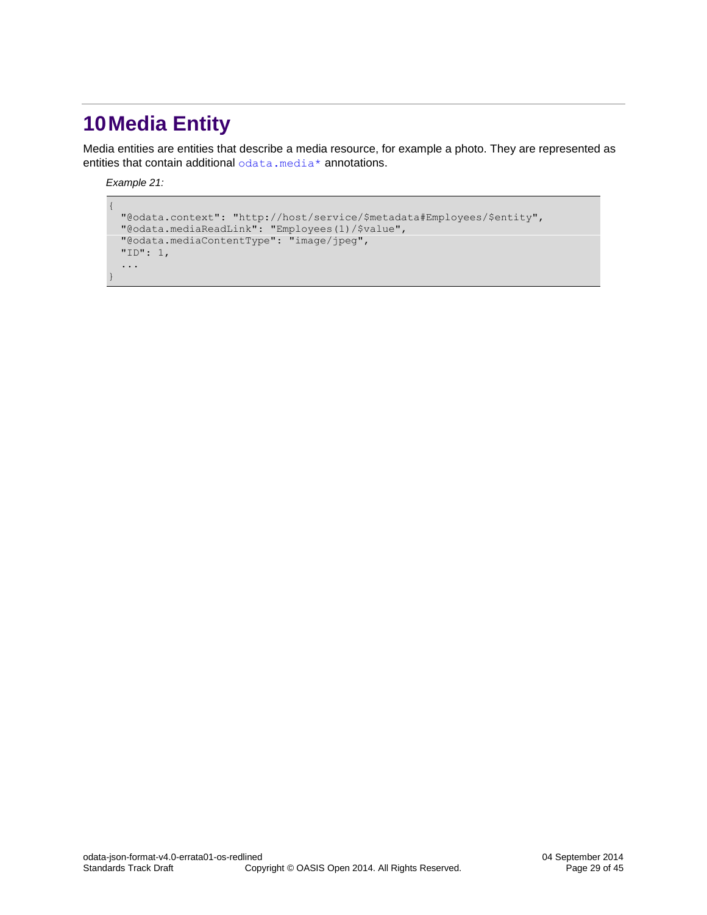# <span id="page-28-0"></span>**10Media Entity**

Media entities are entities that describe a media resource, for example a photo. They are represented as entities that contain additional [odata.media\\*](#page-16-3) annotations.

*Example 21:*

{

}

```
 "@odata.context": "http://host/service/$metadata#Employees/$entity",
 "@odata.mediaReadLink": "Employees(1)/$value",
 "@odata.mediaContentType": "image/jpeg",
  "ID": 1,
  ...
```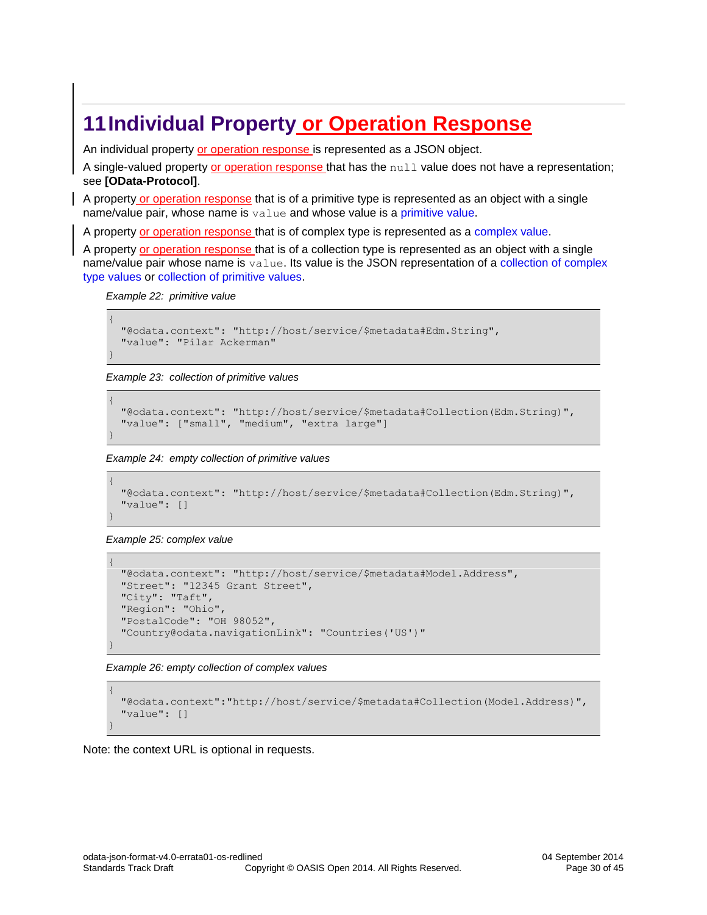## <span id="page-29-0"></span>**11Individual Property or Operation Response**

An individual property or operation response is represented as a JSON object.

A single-valued property or operation response that has the null value does not have a representation; see **[\[OData-Protocol\]](#page-5-3)**.

A property or operation response that is of a primitive type is represented as an object with a single name/value pair, whose name is value and whose value is a [primitive value.](#page-21-1)

A property or operation response that is of complex type is represented as a [complex value.](#page-22-0)

A property or operation response that is of a collection type is represented as an object with a single name/value pair whose name is value. Its value is the JSON representation of a collection of complex [type values](#page-22-2) or [collection of primitive values.](#page-22-3)

*Example 22: primitive value*

```
{
  "@odata.context": "http://host/service/$metadata#Edm.String",
  "value": "Pilar Ackerman"
}
```
*Example 23: collection of primitive values*

```
{
  "@odata.context": "http://host/service/$metadata#Collection(Edm.String)",
  "value": ["small", "medium", "extra large"]
}
```
*Example 24: empty collection of primitive values*

```
{
  "@odata.context": "http://host/service/$metadata#Collection(Edm.String)",
  "value": []
}
```
*Example 25: complex value*

```
{
  "@odata.context": "http://host/service/$metadata#Model.Address",
  "Street": "12345 Grant Street",
  "City": "Taft",
  "Region": "Ohio",
  "PostalCode": "OH 98052",
  "Country@odata.navigationLink": "Countries('US')"
}
```
*Example 26: empty collection of complex values*

```
{
  "@odata.context":"http://host/service/$metadata#Collection(Model.Address)",
  "value": []
}
```
Note: the context URL is optional in requests.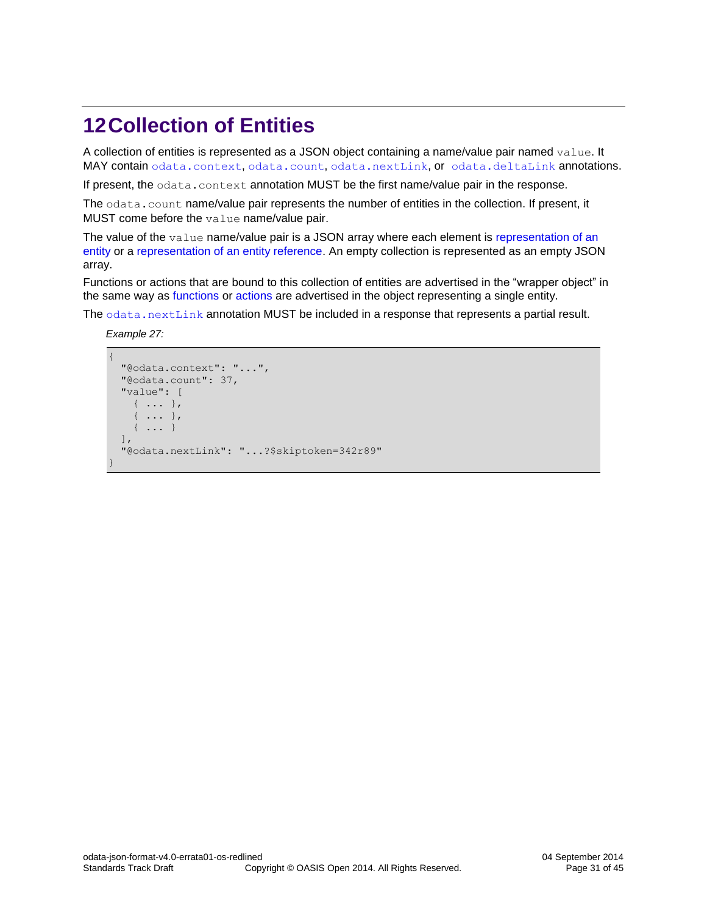# <span id="page-30-0"></span>**12Collection of Entities**

A collection of entities is represented as a JSON object containing a name/value pair named value. It MAY contain [odata.context](#page-13-1), [odata.count](#page-14-0), [odata.nextLink](#page-14-1), or [odata.deltaLink](#page-15-0) annotations.

If present, the odata.context annotation MUST be the first name/value pair in the response.

The odata.count name/value pair represents the number of entities in the collection. If present, it MUST come before the value name/value pair.

The value of the  $value$  name/value pair is a JSON array where each element is representation of an [entity](#page-20-0) or a [representation of an entity reference.](#page-31-0) An empty collection is represented as an empty JSON array.

Functions or actions that are bound to this collection of entities are advertised in the "wrapper object" in the same way as [functions](#page-35-0) or [actions](#page-36-0) are advertised in the object representing a single entity.

The [odata.nextLink](#page-14-1) annotation MUST be included in a response that represents a partial result.

*Example 27:*

```
{
   "@odata.context": "...",
   "@odata.count": 37,
   "value": [
     { ... },
     { ... },
     { ... }
  \frac{1}{2},
   "@odata.nextLink": "...?$skiptoken=342r89"
}
```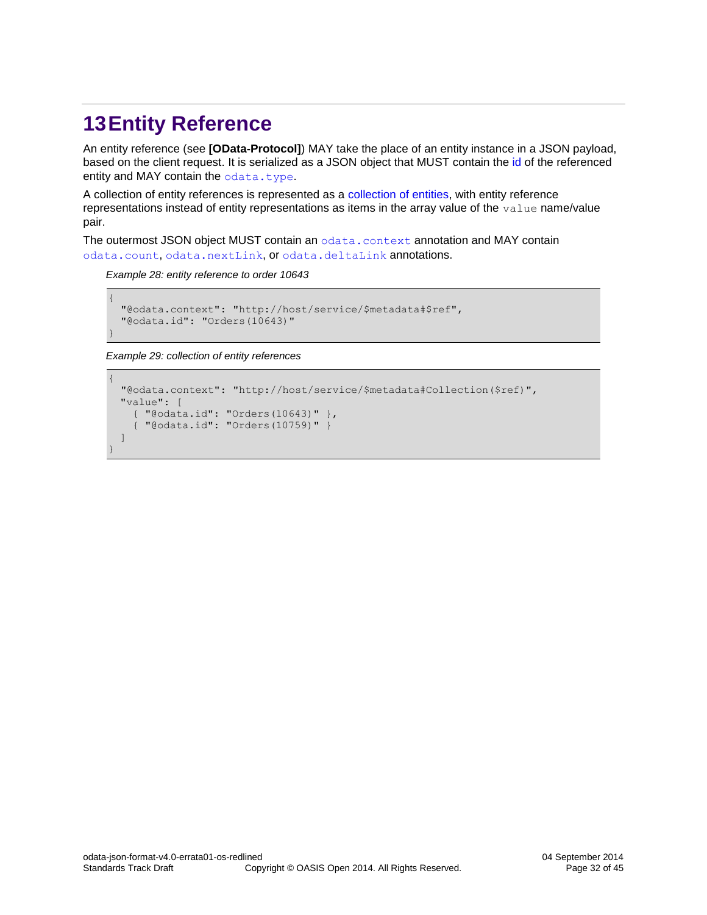# <span id="page-31-0"></span>**13Entity Reference**

An entity reference (see **[\[OData-Protocol\]](#page-5-3)**) MAY take the place of an entity instance in a JSON payload, based on the client request. It is serialized as a JSON object that MUST contain the [id](#page-15-1) of the referenced entity and MAY contain the [odata.type](#page-13-3).

A collection of entity references is represented as a [collection of entities,](#page-30-0) with entity reference representations instead of entity representations as items in the array value of the  $value$  name/value pair.

The outermost JSON object MUST contain an [odata.context](#page-13-1) annotation and MAY contain [odata.count](#page-14-0), [odata.nextLink](#page-14-1), or [odata.deltaLink](#page-15-0) annotations.

*Example 28: entity reference to order 10643*

```
{
  "@odata.context": "http://host/service/$metadata#$ref",
  "@odata.id": "Orders(10643)"
}
```
*Example 29: collection of entity references* 

```
{ 
  "@odata.context": "http://host/service/$metadata#Collection($ref)", 
 "value": [
    { "@odata.id": "Orders(10643)" },
     { "@odata.id": "Orders(10759)" }
 ] 
}
```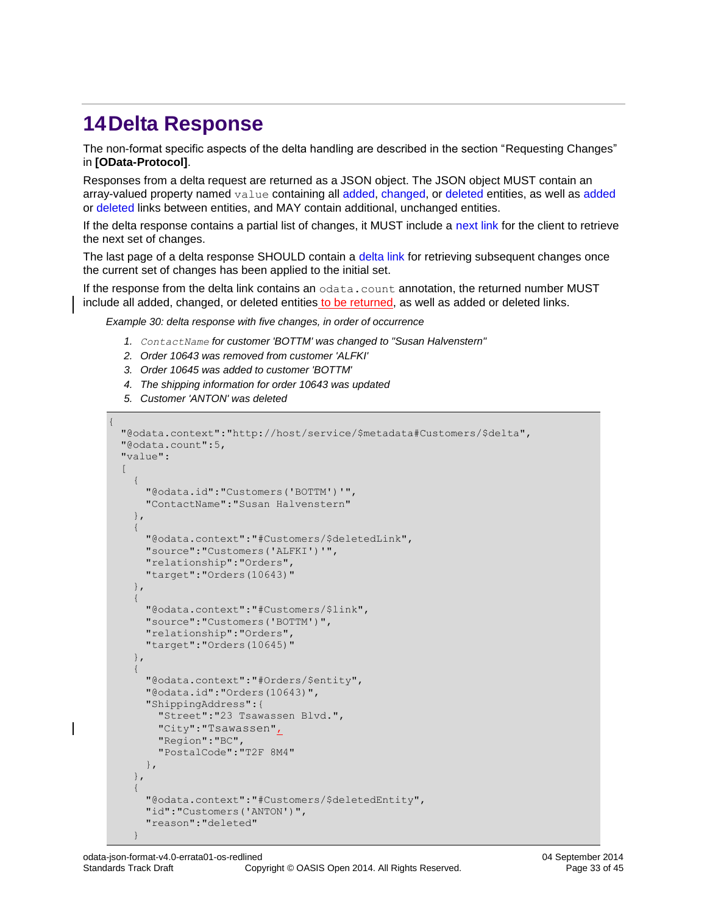# <span id="page-32-0"></span>**14Delta Response**

The non-format specific aspects of the delta handling are described in the section "Requesting Changes" in **[\[OData-Protocol\]](#page-5-3)**.

Responses from a delta request are returned as a JSON object. The JSON object MUST contain an array-valued property named value containing all [added, changed,](#page-33-0) or [deleted](#page-33-1) entities, as well as [added](#page-33-2) or [deleted](#page-34-0) links between entities, and MAY contain additional, unchanged entities.

If the delta response contains a partial list of changes, it MUST include a [next link](#page-14-1) for the client to retrieve the next set of changes.

The last page of a delta response SHOULD contain a [delta link](#page-15-0) for retrieving subsequent changes once the current set of changes has been applied to the initial set.

If the response from the delta link contains an [odata.c](#page-14-0)ount annotation, the returned number MUST include all added, changed, or deleted entities to be returned, as well as added or deleted links.

*Example 30: delta response with five changes, in order of occurrence*

- *1. ContactName for customer 'BOTTM' was changed to "Susan Halvenstern"*
- *2. Order 10643 was removed from customer 'ALFKI'*
- *3. Order 10645 was added to customer 'BOTTM'*
- *4. The shipping information for order 10643 was updated*
- *5. Customer 'ANTON' was deleted*

```
{
   "@odata.context":"http://host/service/$metadata#Customers/$delta",
   "@odata.count":5,
   "value":
  \overline{[} {
         "@odata.id":"Customers('BOTTM')'",
         "ContactName":"Susan Halvenstern"
      },
\left\{\begin{array}{ccc} \end{array}\right\} "@odata.context":"#Customers/$deletedLink",
         "source":"Customers('ALFKI')'",
         "relationship":"Orders",
         "target":"Orders(10643)"
      },
\left\{\begin{array}{ccc} & & \\ & & \end{array}\right\} "@odata.context":"#Customers/$link",
         "source":"Customers('BOTTM')",
         "relationship":"Orders",
         "target":"Orders(10645)"
      },
\left\{\begin{array}{ccc} & & \\ & & \end{array}\right\} "@odata.context":"#Orders/$entity",
         "@odata.id":"Orders(10643)",
         "ShippingAddress":{
           "Street":"23 Tsawassen Blvd.",
           "City":"Tsawassen",
           "Region":"BC",
           "PostalCode":"T2F 8M4"
         },
      },
\left\{\begin{array}{ccc} & & \\ & & \end{array}\right\} "@odata.context":"#Customers/$deletedEntity",
         "id":"Customers('ANTON')",
         "reason":"deleted"
 }
```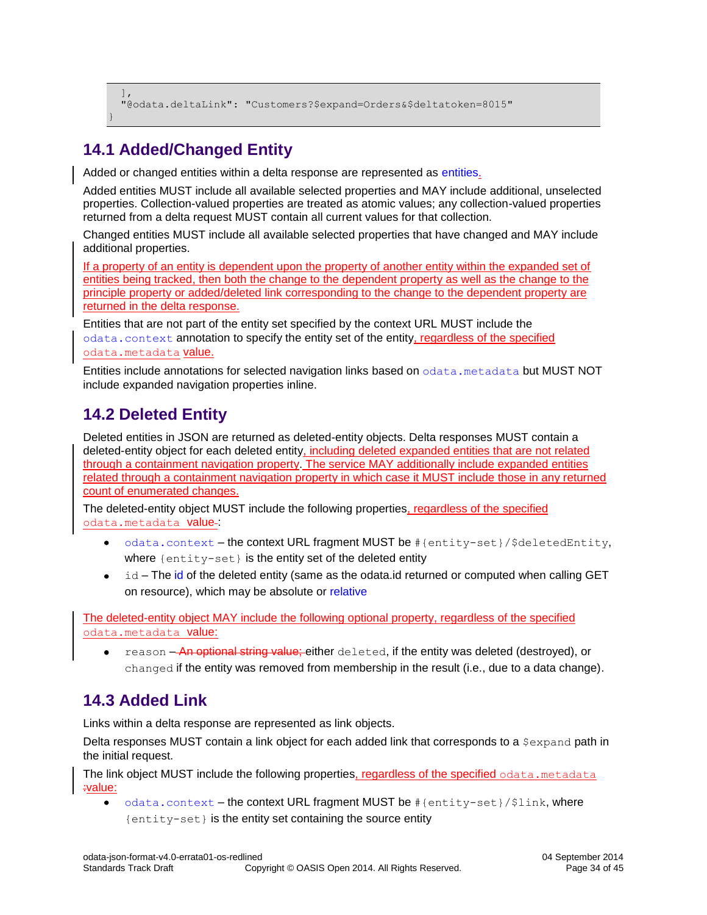```
\Box "@odata.deltaLink": "Customers?$expand=Orders&$deltatoken=8015"
}
```
### <span id="page-33-0"></span>**14.1 Added/Changed Entity**

Added or changed entities within a delta response are represented as [entities.](#page-20-0)

Added entities MUST include all available selected properties and MAY include additional, unselected properties. Collection-valued properties are treated as atomic values; any collection-valued properties returned from a delta request MUST contain all current values for that collection.

Changed entities MUST include all available selected properties that have changed and MAY include additional properties.

If a property of an entity is dependent upon the property of another entity within the expanded set of entities being tracked, then both the change to the dependent property as well as the change to the principle property or [added](#page-33-2)[/deleted](#page-34-0) link corresponding to the change to the dependent property are returned in the delta response.

Entities that are not part of the entity set specified by the context URL MUST include the [odata.context](#page-13-1) annotation to specify the entity set of the entity, regardless of the specified [odata.metadata](#page-8-1) value.

Entities include annotations for selected navigation links based on [odata.metadata](#page-8-1) but MUST NOT include expanded navigation properties inline.

### <span id="page-33-1"></span>**14.2 Deleted Entity**

Deleted entities in JSON are returned as deleted-entity objects. Delta responses MUST contain a deleted-entity object for each deleted entity, including deleted expanded entities that are not related through a containment navigation property. The service MAY additionally include expanded entities related through a containment navigation property in which case it MUST include those in any returned count of enumerated changes.

The deleted-entity object MUST include the following properties, regardless of the specified [odata.metadata](#page-8-1) value-:

- [odata.context](#page-13-1) the context URL fragment MUST be  $\#$ {entity-set}/\$deletedEntity, where {entity-set} is the entity set of the deleted entity
- id The [id](#page-15-1) of the deleted entity (same as the [odata.id](#page-15-1) returned or computed when calling GET on resource), which may be absolute or [relative](#page-11-3)

The deleted-entity object MAY include the following optional property, regardless of the specified [odata.metadata](#page-8-1) value:

reason – An optional string value; either deleted, if the entity was deleted (destroyed), or changed if the entity was removed from membership in the result (i.e., due to a data change).

### <span id="page-33-2"></span>**14.3 Added Link**

Links within a delta response are represented as link objects.

Delta responses MUST contain a link object for each added link that corresponds to a \$expand path in the initial request.

The link object MUST include the following properties, regardless of the specified [odata.metadata](#page-8-1) :value:

[odata.context](#page-13-1) – the context URL fragment MUST be #{entity-set}/\$link, where {entity-set} is the entity set containing the source entity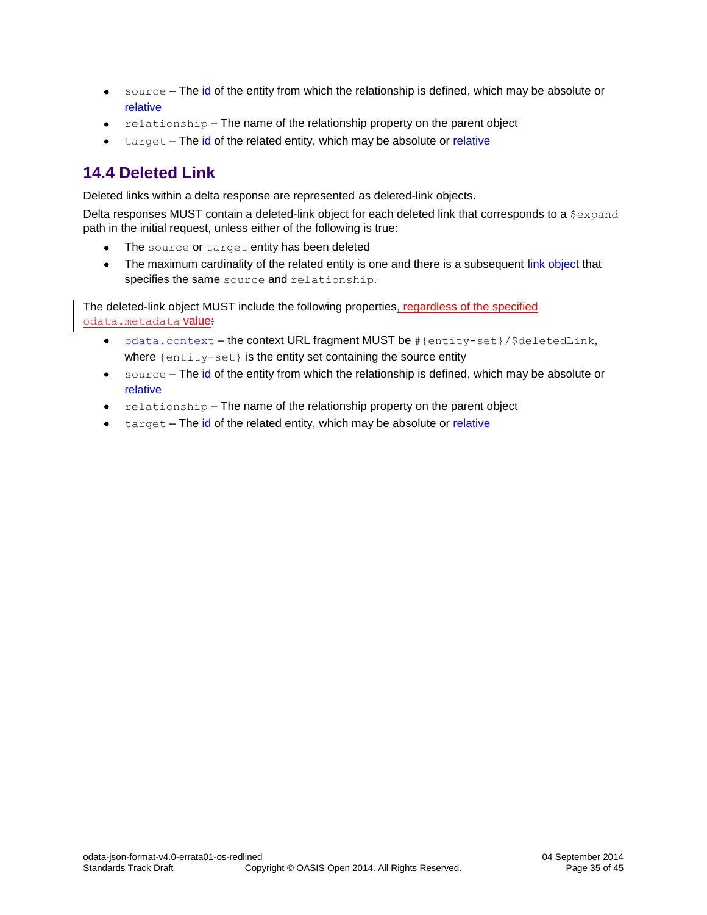- source The [id](#page-15-1) of the entity from which the relationship is defined, which may be absolute or  $\bullet$ [relative](#page-11-3)
- relationship The name of the relationship property on the parent object  $\bullet$
- target The [id](#page-15-1) of the related entity, which may be absolute or [relative](#page-11-3)  $\bullet$

### <span id="page-34-0"></span>**14.4 Deleted Link**

Deleted links within a delta response are represented as deleted-link objects.

Delta responses MUST contain a deleted-link object for each deleted link that corresponds to a \$expand path in the initial request, unless either of the following is true:

- $\bullet$ The source or target entity has been deleted
- The maximum cardinality of the related entity is one and there is a subsequent link [object](#page-33-2) that  $\bullet$ specifies the same source and relationship.

The deleted-link object MUST include the following properties, regardless of the specified [odata.metadata](#page-8-1) value:

- $\bullet$ [odata.context](#page-13-1) – the context URL fragment MUST be #{entity-set}/\$deletedLink, where {entity-set} is the entity set containing the source entity
- source The [id](#page-15-1) of the entity from which the relationship is defined, which may be absolute or  $\bullet$ [relative](#page-11-3)
- relationship The name of the relationship property on the parent object
- target The [id](#page-15-1) of the related entity, which may be absolute or [relative](#page-11-3)  $\bullet$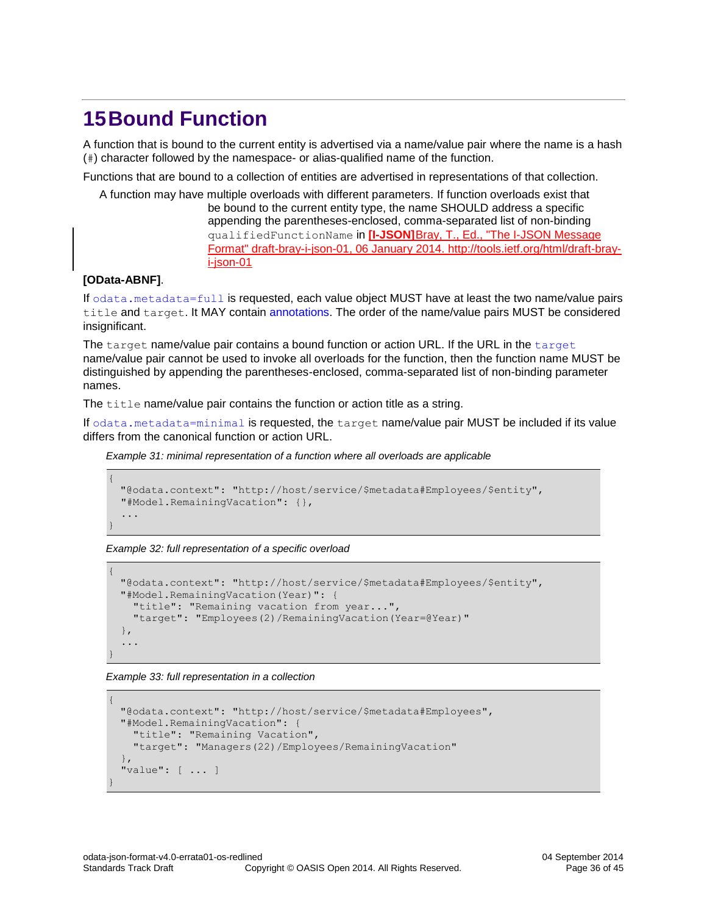# <span id="page-35-0"></span>**15Bound Function**

A function that is bound to the current entity is advertised via a name/value pair where the name is a hash (#) character followed by the namespace- or alias-qualified name of the function.

Functions that are bound to a collection of entities are advertised in representations of that collection.

A function may have multiple overloads with different parameters. If function overloads exist that be bound to the current entity type, the name SHOULD address a specific appending the parentheses-enclosed, comma-separated list of non-binding qualifiedFunctionName in **[I-JSON]**[Bray, T., Ed., "The I-JSON Message](#page-5-6)  [Format" draft-bray-i-json-01, 06 January 2014.](#page-5-6) http://tools.ietf.org/html/draft-bray[i-json-01](#page-5-6)

#### **[\[OData-ABNF\]](#page-5-6)**.

If [odata.metadata=full](#page-9-0) is requested, each value object MUST have at least the two name/value pairs title and target. It MAY contain [annotations.](#page-38-0) The order of the name/value pairs MUST be considered insignificant.

The target name/value pair contains a bound function or action URL. If the URL in the target name/value pair cannot be used to invoke all overloads for the function, then the function name MUST be distinguished by appending the parentheses-enclosed, comma-separated list of non-binding parameter names.

The title name/value pair contains the function or action title as a string.

If [odata.metadata=minimal](#page-8-2) is requested, the target name/value pair MUST be included if its value differs from the canonical function or action URL.

*Example 31: minimal representation of a function where all overloads are applicable*

```
{
 "@odata.context": "http://host/service/$metadata#Employees/$entity",
  "#Model.RemainingVacation": {},
   ...
}
```
#### *Example 32: full representation of a specific overload*

```
{
 "@odata.context": "http://host/service/$metadata#Employees/$entity",
 "#Model.RemainingVacation(Year)": {
    "title": "Remaining vacation from year...",
    "target": "Employees(2)/RemainingVacation(Year=@Year)"
  },
   ...
}
```
*Example 33: full representation in a collection*

```
{
 "@odata.context": "http://host/service/$metadata#Employees",
 "#Model.RemainingVacation": {
    "title": "Remaining Vacation",
    "target": "Managers(22)/Employees/RemainingVacation"
 },
  "value": [ ... ]
}
```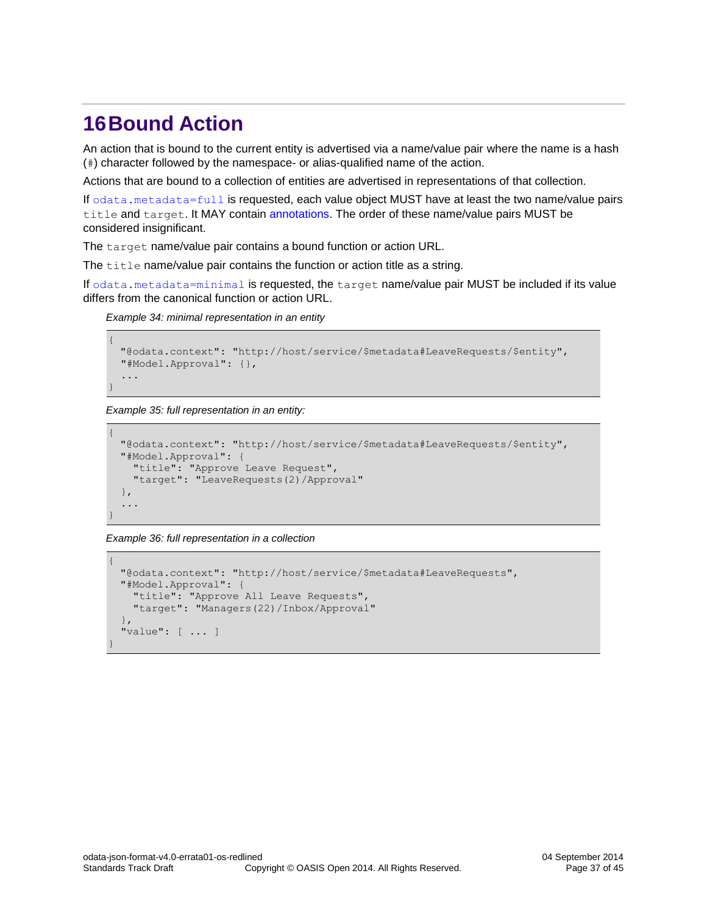### <span id="page-36-0"></span>**16Bound Action**

An action that is bound to the current entity is advertised via a name/value pair where the name is a hash (#) character followed by the namespace- or alias-qualified name of the action.

Actions that are bound to a collection of entities are advertised in representations of that collection.

If [odata.metadata=full](#page-9-0) is requested, each value object MUST have at least the two name/value pairs title and target. It MAY contain [annotations.](#page-38-0) The order of these name/value pairs MUST be considered insignificant.

The target name/value pair contains a bound function or action URL.

The  $\text{title}$  name/value pair contains the function or action title as a string.

If [odata.metadata=minimal](#page-8-2) is requested, the target name/value pair MUST be included if its value differs from the canonical function or action URL.

*Example 34: minimal representation in an entity*

```
{
 "@odata.context": "http://host/service/$metadata#LeaveRequests/$entity",
  "#Model.Approval": {},
   ...
}
```
*Example 35: full representation in an entity:*

```
{
 "@odata.context": "http://host/service/$metadata#LeaveRequests/$entity",
 "#Model.Approval": {
 "title": "Approve Leave Request",
 "target": "LeaveRequests(2)/Approval"
  },
   ...
}
```
*Example 36: full representation in a collection*

```
{
 "@odata.context": "http://host/service/$metadata#LeaveRequests",
 "#Model.Approval": {
 "title": "Approve All Leave Requests",
 "target": "Managers(22)/Inbox/Approval"
  },
  "value": [ ... ]
}
```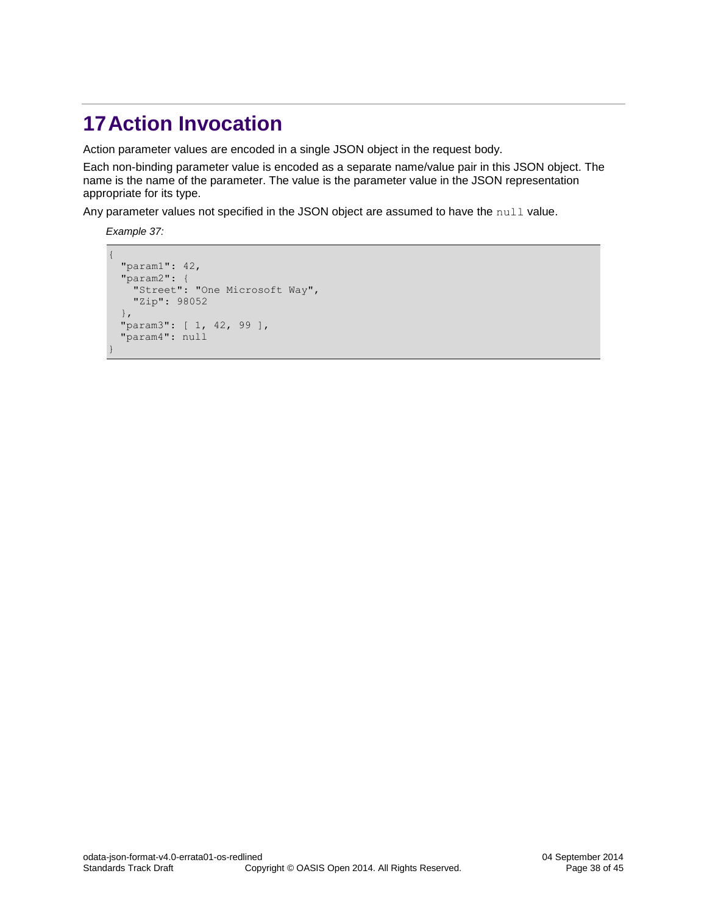# <span id="page-37-0"></span>**17Action Invocation**

Action parameter values are encoded in a single JSON object in the request body.

Each non-binding parameter value is encoded as a separate name/value pair in this JSON object. The name is the name of the parameter. The value is the parameter value in the JSON representation appropriate for its type.

Any parameter values not specified in the JSON object are assumed to have the null value.

*Example 37:*

```
{ 
  "param1": 42, 
  "param2": { 
     "Street": "One Microsoft Way", 
    "Zip": 98052 
   }, 
 "param3": [ 1, 42, 99 ],
  "param4": null 
}
```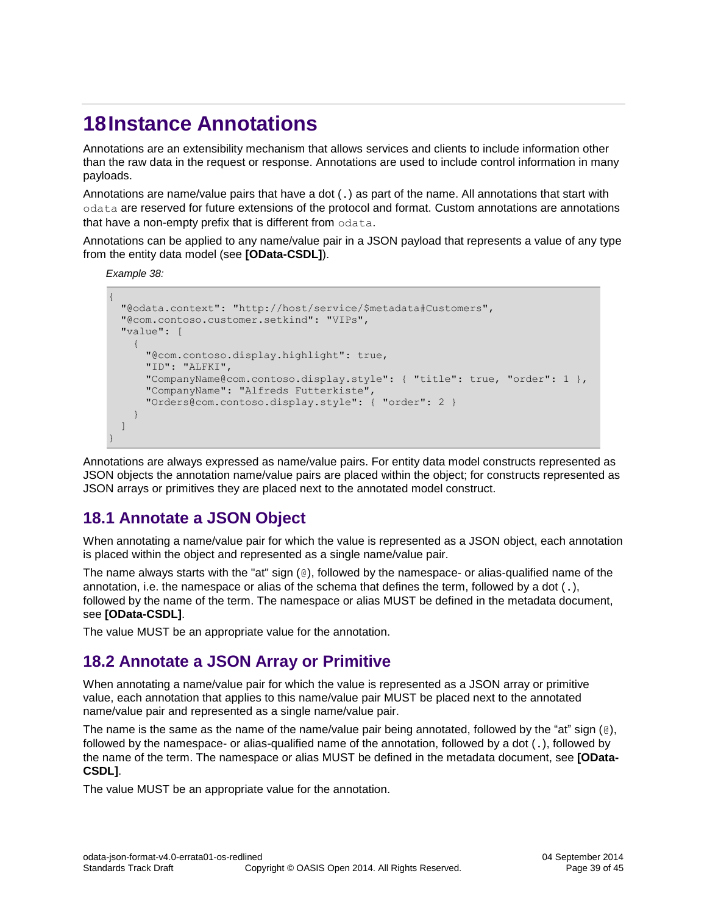# <span id="page-38-0"></span>**18Instance Annotations**

Annotations are an extensibility mechanism that allows services and clients to include information other than the raw data in the request or response. Annotations are used to include control information in many payloads.

Annotations are name/value pairs that have a dot (.) as part of the name. All annotations that start with odata are reserved for future extensions of the protocol and format. Custom annotations are annotations that have a non-empty prefix that is different from odata.

Annotations can be applied to any name/value pair in a JSON payload that represents a value of any type from the entity data model (see **[\[OData-CSDL\]](#page-5-8)**).

*Example 38:* 

```
{
  "@odata.context": "http://host/service/$metadata#Customers",
  "@com.contoso.customer.setkind": "VIPs",
  "value": [
     {
       "@com.contoso.display.highlight": true,
       "ID": "ALFKI",
       "CompanyName@com.contoso.display.style": { "title": true, "order": 1 },
       "CompanyName": "Alfreds Futterkiste",
       "Orders@com.contoso.display.style": { "order": 2 }
     }
  ]
}
```
Annotations are always expressed as name/value pairs. For entity data model constructs represented as JSON objects the annotation name/value pairs are placed within the object; for constructs represented as JSON arrays or primitives they are placed next to the annotated model construct.

### <span id="page-38-1"></span>**18.1 Annotate a JSON Object**

When annotating a name/value pair for which the value is represented as a JSON object, each annotation is placed within the object and represented as a single name/value pair.

The name always starts with the "at" sign (@), followed by the namespace- or alias-qualified name of the annotation, i.e. the namespace or alias of the schema that defines the term, followed by a dot (.), followed by the name of the term. The namespace or alias MUST be defined in the metadata document, see **[\[OData-CSDL\]](#page-5-8)**.

The value MUST be an appropriate value for the annotation.

### <span id="page-38-2"></span>**18.2 Annotate a JSON Array or Primitive**

When annotating a name/value pair for which the value is represented as a JSON array or primitive value, each annotation that applies to this name/value pair MUST be placed next to the annotated name/value pair and represented as a single name/value pair.

The name is the same as the name of the name/value pair being annotated, followed by the "at" sign (@), followed by the namespace- or alias-qualified name of the annotation, followed by a dot (.), followed by the name of the term. The namespace or alias MUST be defined in the metadata document, see **[\[OData-](#page-5-8)[CSDL\]](#page-5-8)**.

The value MUST be an appropriate value for the annotation.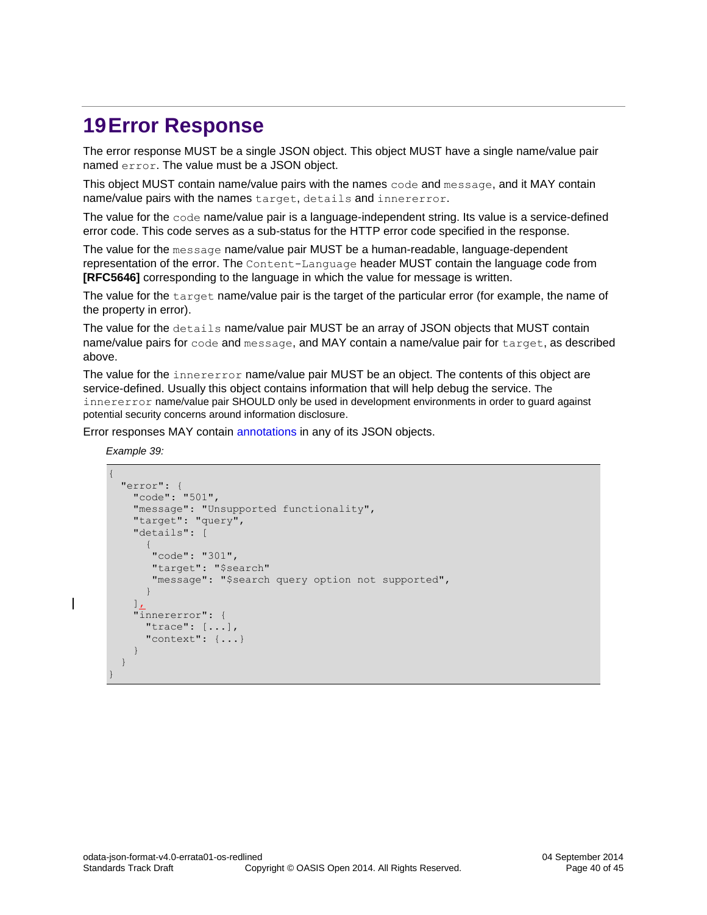### <span id="page-39-0"></span>**19Error Response**

The error response MUST be a single JSON object. This object MUST have a single name/value pair named error. The value must be a JSON object.

This object MUST contain name/value pairs with the names code and message, and it MAY contain name/value pairs with the names target, details and innererror.

The value for the code name/value pair is a language-independent string. Its value is a service-defined error code. This code serves as a sub-status for the HTTP error code specified in the response.

The value for the message name/value pair MUST be a human-readable, language-dependent representation of the error. The Content-Language header MUST contain the language code from **[\[RFC5646\]](#page-6-3)** corresponding to the language in which the value for message is written.

The value for the target name/value pair is the target of the particular error (for example, the name of the property in error).

The value for the details name/value pair MUST be an array of JSON objects that MUST contain name/value pairs for code and message, and MAY contain a name/value pair for target, as described above.

The value for the innererror name/value pair MUST be an object. The contents of this object are service-defined. Usually this object contains information that will help debug the service. The innererror name/value pair SHOULD only be used in development environments in order to guard against potential security concerns around information disclosure.

Error responses MAY contain [annotations](#page-38-0) in any of its JSON objects.

*Example 39:*

 $\overline{\phantom{a}}$ 

```
{
   "error": {
     "code": "501",
      "message": "Unsupported functionality",
      "target": "query",
      "details": [
\left\{ \begin{array}{cc} 0 & 0 \\ 0 & 0 \end{array} \right. "code": "301",
         "target": "$search"
          "message": "$search query option not supported",
\qquad \qquad \}]_L "innererror": {
        "trace": [...],
        "context": {...}
 }
   }
}
```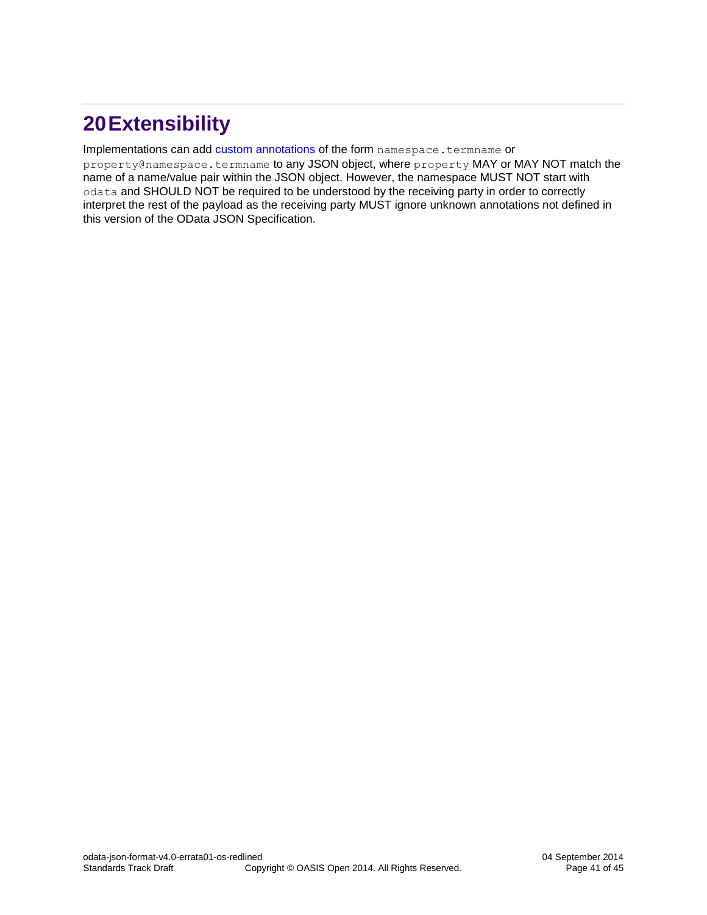# <span id="page-40-0"></span>**20Extensibility**

#### Implementations can add [custom annotations](#page-38-0) of the form namespace.termname or

[property@namespace.termname](mailto:property@namespace.termname) to any JSON object, where property MAY or MAY NOT match the name of a name/value pair within the JSON object. However, the namespace MUST NOT start with odata and SHOULD NOT be required to be understood by the receiving party in order to correctly interpret the rest of the payload as the receiving party MUST ignore unknown annotations not defined in this version of the OData JSON Specification.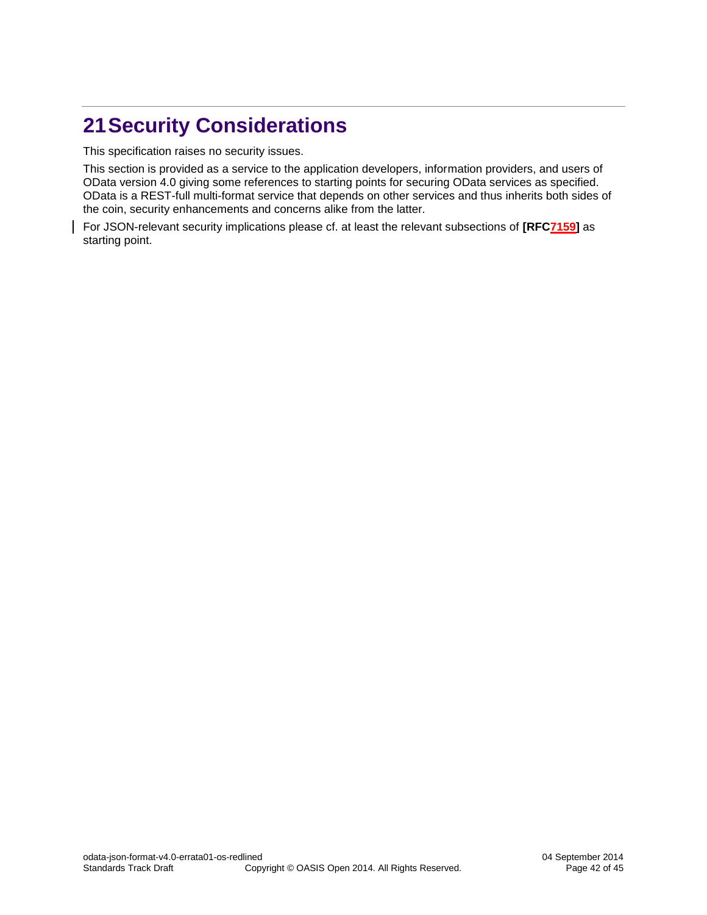# <span id="page-41-0"></span>**21Security Considerations**

This specification raises no security issues.

This section is provided as a service to the application developers, information providers, and users of OData version 4.0 giving some references to starting points for securing OData services as specified. OData is a REST-full multi-format service that depends on other services and thus inherits both sides of the coin, security enhancements and concerns alike from the latter.

For JSON-relevant security implications please cf. at least the relevant subsections of **[\[RFC7159\]](#page-6-1)** as starting point.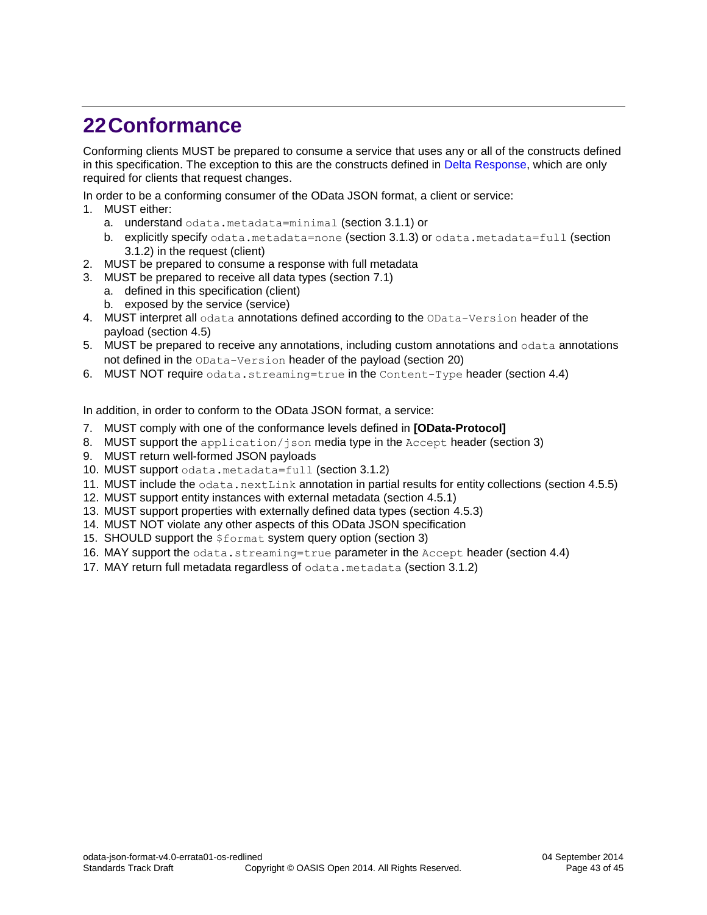# <span id="page-42-0"></span>**22Conformance**

Conforming clients MUST be prepared to consume a service that uses any or all of the constructs defined in this specification. The exception to this are the constructs defined in [Delta Response,](#page-32-0) which are only required for clients that request changes.

In order to be a conforming consumer of the OData JSON format, a client or service:

- 1. MUST either:
	- a. understand odata.metadata=minimal (section [3.1.1\)](#page-8-2) or
	- b. explicitly specify odata.metadata=none (section [3.1.3\)](#page-9-1) or odata.metadata=full (section [3.1.2\)](#page-9-0) in the request (client)
- 2. MUST be prepared to consume a response with full metadata
- 3. MUST be prepared to receive all data types (section [7.1\)](#page-21-1)
	- a. defined in this specification (client)
	- b. exposed by the service (service)
- 4. MUST interpret all odata annotations defined according to the OData-Version header of the payload (section [4.5\)](#page-13-0)
- 5. MUST be prepared to receive any annotations, including custom annotations and odata annotations not defined in the OData-Version header of the payload (section [20\)](#page-40-0)
- 6. MUST NOT require odata.streaming=true in the Content-Type header (section [4.4\)](#page-12-0)

In addition, in order to conform to the OData JSON format, a service:

- 7. MUST comply with one of the conformance levels defined in **[\[OData-Protocol\]](#page-5-3)**
- 8. MUST support the application/json media type in the Accept header (section [3\)](#page-8-0)
- 9. MUST return well-formed JSON payloads
- 10. MUST support odata.metadata=full (section [3.1.2\)](#page-9-0)
- 11. MUST include the  $\text{odata.nextLink}$  annotation in partial results for entity collections (section [4.5.5\)](#page-14-1)
- 12. MUST support entity instances with external metadata (section [4.5.1\)](#page-13-1)
- 13. MUST support properties with externally defined data types (section [4.5.3\)](#page-13-3)
- 14. MUST NOT violate any other aspects of this OData JSON specification
- 15. SHOULD support the *\$format* system query option (section [3\)](#page-8-0)
- 16. MAY support the odata.streaming=true parameter in the Accept header (section [4.4\)](#page-12-0)
- 17. MAY return full metadata regardless of odata.metadata (section [3.1.2\)](#page-9-0)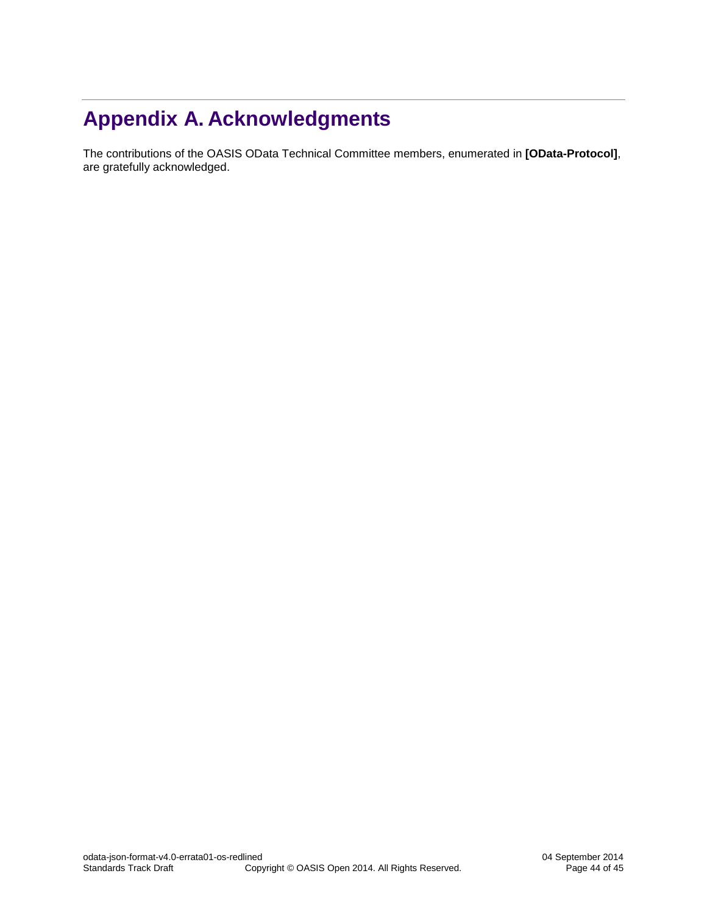# <span id="page-43-0"></span>**Appendix A. Acknowledgments**

The contributions of the OASIS OData Technical Committee members, enumerated in **[\[OData-Protocol\]](#page-5-3)**, are gratefully acknowledged.